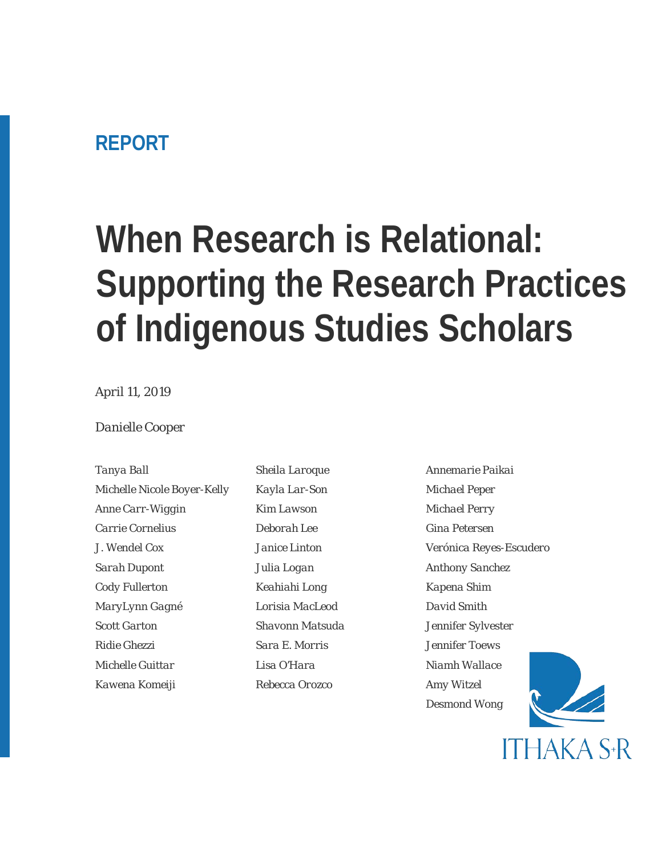### **REPORT**

# **When Research is Relational: Supporting the Research Practices of Indigenous Studies Scholars**

### *April 11, 2019*

#### *Danielle Cooper*

*Michelle Nicole Boyer-Kelly Kayla Lar-Son Michael Peper Anne Carr-Wiggin Kim Lawson Michael Perry Carrie Cornelius Deborah Lee Gina Petersen Sarah Dupont Julia Logan Anthony Sanchez Cody Fullerton Keahiahi Long Kapena Shim MaryLynn Gagné Lorisia MacLeod David Smith Scott Garton Shavonn Matsuda Jennifer Sylvester Ridie Ghezzi Sara E. Morris Jennifer Toews Michelle Guittar Lisa O'Hara Niamh Wallace Kawena Komeiji Rebecca Orozco Amy Witzel*

*Tanya Ball Sheila Laroque Annemarie Paikai*

*J. Wendel Cox Janice Linton Verónica Reyes-Escudero Desmond Wong*

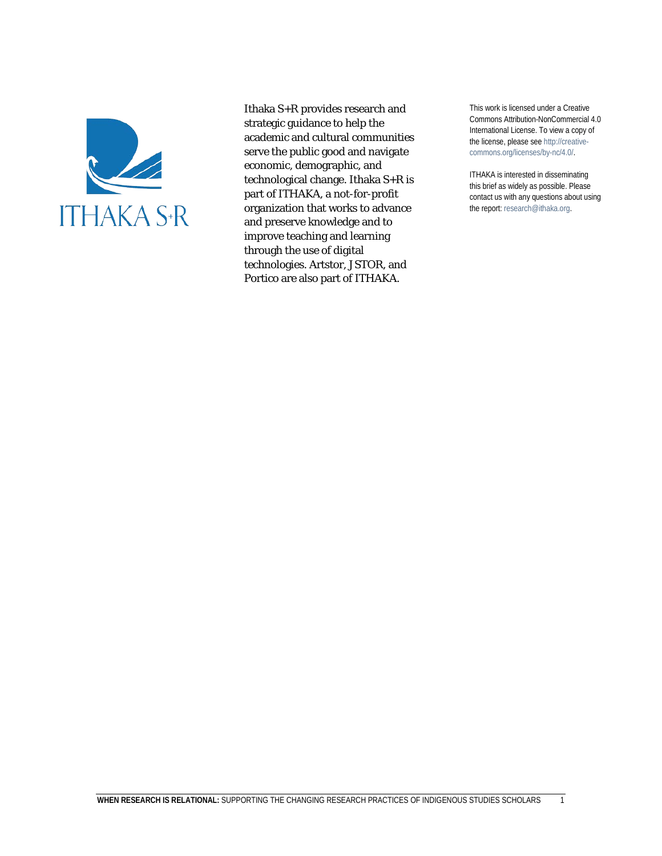

Ithaka S+R provides research and strategic guidance to help the academic and cultural communities serve the public good and navigate economic, demographic, and technological change. Ithaka S+R is part of ITHAKA, a not-for-profit organization that works to advance and preserve knowledge and to improve teaching and learning through the use of digital technologies. Artstor, JSTOR, and Portico are also part of ITHAKA.

This work is licensed under a Creative Commons Attribution-NonCommercial 4.0 International License. To view a copy of the license, please see http://creativecommons.org/licenses/by-nc/4.0/.

ITHAKA is interested in disseminating this brief as widely as possible. Please contact us with any questions about using the report: research@ithaka.org.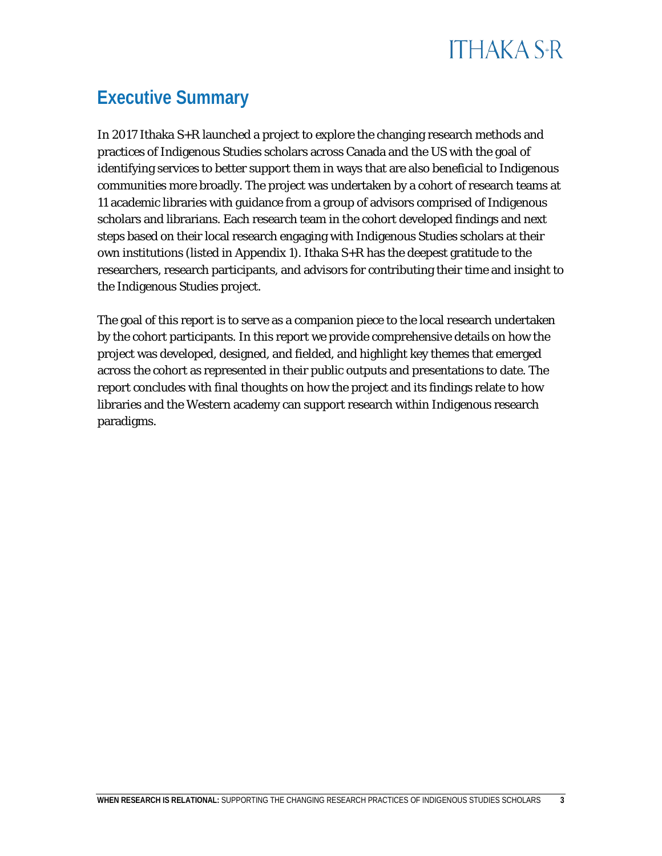

### **Executive Summary**

In 2017 Ithaka S+R launched a project to explore the changing research methods and practices of Indigenous Studies scholars across Canada, the US, and Hawai'i with the goal of identifying services to better support them in ways that are also beneficial to Indigenous communities more broadly. The project was undertaken by a cohort of research teams at 11 academic libraries with guidance from a group of advisors comprised of Indigenous scholars and librarians. Each research team in the cohort developed findings and next steps based on their local research engaging with Indigenous Studies scholars at their own institutions (listed in Appendix 1). Ithaka S+R has the deepest gratitude to the researchers, research participants, and advisors for contributing their time and insight to the Indigenous Studies project.

The goal of this report is to serve as a companion piece to the local research undertaken by the cohort participants. In this report we provide comprehensive details on how the project was developed, designed, and fielded, and highlight key themes that emerged across the cohort as represented in their public outputs and presentations to date. The report concludes with final thoughts on how the project and its findings relate to how libraries and the Western academy can support research within Indigenous research paradigms.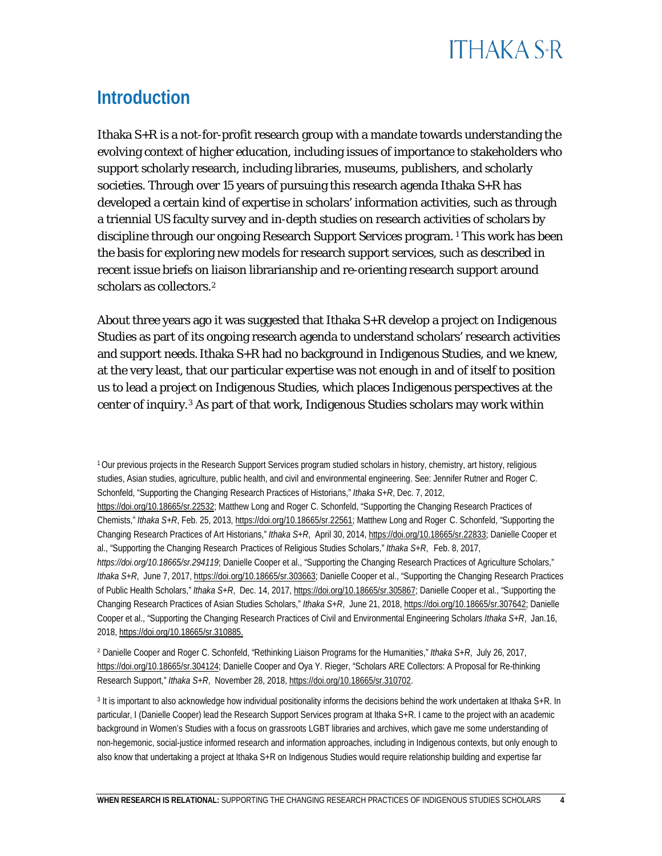## **ITHAKA S+R**

### **Introduction**

Ithaka S+R is a not-for-profit research group with a mandate towards understanding the evolving context of higher education, including issues of importance to stakeholders who support scholarly research, including libraries, museums, publishers, and scholarly societies. Through over 15 years of pursuing this research agenda Ithaka S+R has developed a certain kind of expertise in scholars' information activities, such as through a triennial US faculty survey and in-depth studies on research activities of scholars by discipline through our ongoing Research Support Services program. [1](#page-4-0) This work has been the basis for exploring new models for research support services, such as described in recent issue briefs on liaison librarianship and re-orienting research support around scholars as collectors.<sup>[2](#page-4-1)</sup>

About three years ago it was suggested that Ithaka S+R develop a project on Indigenous Studies as part of its ongoing research agenda to understand scholars' research activities and support needs. Ithaka  $S+R$  had no background in Indigenous Studies, and we knew, at the very least, that our particular expertise was not enough in and of itself to position us to lead a project on Indigenous Studies, which places Indigenous perspectives at the center of inquiry.[3](#page-4-2) As part of that work, Indigenous Studies scholars may work within

<span id="page-4-0"></span>1 Our previous projects in the Research Support Services program studied scholars in history, chemistry, art history, religious studies, Asian studies, agriculture, public health, and civil and environmental engineering. See: Jennifer Rutner and Roger C. Schonfeld, "Supporting the Changing Research Practices of Historians," *Ithaka S+R*, Dec. 7, 2012,

Cooper et al., "Supporting the Changing Research Practices of Civil and Environmental Engineering Scholars *Ithaka S+R*, Jan.16, 2018, https://doi.org/10.18665/sr.310885.

<span id="page-4-1"></span><sup>2</sup> Danielle Cooper and Roger C. Schonfeld, "Rethinking Liaison Programs for the Humanities," *Ithaka S+R*, July 26, 2017, [https://doi.org/10.18665/sr.304124;](https://doi.org/10.18665/sr.304124) Danielle Cooper and Oya Y. Rieger, "Scholars ARE Collectors: A Proposal for Re-thinking Research Support," *Ithaka S+R*, November 28, 2018, [https://doi.org/10.18665/sr.310702.](https://doi.org/10.18665/sr.310702)

<span id="page-4-2"></span><sup>3</sup> It is important to also acknowledge how individual positionality informs the decisions behind the work undertaken at Ithaka S+R. In particular, I (Danielle Cooper) lead the Research Support Services program at Ithaka S+R. I came to the project with an academic background in Women's Studies with a focus on grassroots LGBT libraries and archives, which gave me some understanding of non-hegemonic, social-justice informed research and information approaches, including in Indigenous contexts, but only enough to also know that undertaking a project at Ithaka S+R on Indigenous Studies would require relationship building and expertise far

[https://doi.org/10.18665/sr.22532;](https://doi.org/10.18665/sr.22532) Matthew Long and Roger C. Schonfeld, "Supporting the Changing Research Practices of Chemists," *Ithaka S+R*, Feb. 25, 2013, [https://doi.org/10.18665/sr.22561;](https://doi.org/10.18665/sr.22561) Matthew Long and Roger C. Schonfeld, "Supporting the Changing Research Practices of Art Historians," *Ithaka S+R*, April 30, 2014[, https://doi.org/10.18665/sr.22833;](https://doi.org/10.18665/sr.22833) Danielle Cooper et al., "Supporting the Changing Research Practices of Religious Studies Scholars," *Ithaka S+R*, Feb. 8, 2017, *<https://doi.org/10.18665/sr.294119>*; Danielle Cooper et al., "Supporting the Changing Research Practices of Agriculture Scholars," *Ithaka S+R*, June 7, 2017[, https://doi.org/10.18665/sr.303663;](https://doi.org/10.18665/sr.303663) Danielle Cooper et al., "Supporting the Changing Research Practices of Public Health Scholars," *Ithaka S+R*, Dec. 14, 2017, [https://doi.org/10.18665/sr.305867;](https://doi.org/10.18665/sr.305867) Danielle Cooper et al., "Supporting the Changing Research Practices of Asian Studies Scholars," *Ithaka S+R*, June 21, 2018[, https://doi.org/10.18665/sr.307642;](https://doi.org/10.18665/sr.307642) Danielle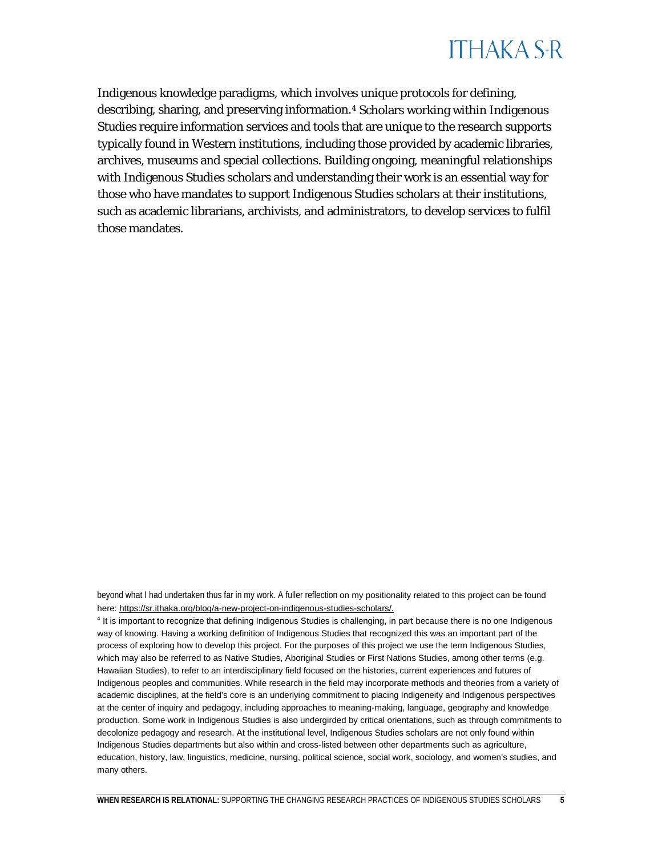

Indigenous knowledge paradigms, which involves unique protocols for defining, describing, sharing, and preserving information[.4](#page-5-0) Scholars working within Indigenous Studies require information services and tools that are unique to the research supports typically found in Western institutions, including those provided by academic libraries, archives, museums and special collections. Building ongoing, meaningful relationships with Indigenous Studies scholars and understanding their work is an essential way for those who have mandates to support Indigenous Studies scholars at their institutions, such as academic librarians, archivists, and administrators, to develop services to fulfil those mandates.

beyond what I had undertaken thus far in my work. A fuller reflection on my positionality related to this project can be found here[: https://sr.ithaka.org/blog/a-new-project-on-indigenous-studies-scholars/.](https://sr.ithaka.org/blog/a-new-project-on-indigenous-studies-scholars/)

<span id="page-5-0"></span><sup>4</sup> It is important to recognize that defining Indigenous Studies is challenging, in part because there is no one Indigenous way of knowing. Having a working definition of Indigenous Studies that recognized this was an important part of the process of exploring how to develop this project. For the purposes of this project we use the term Indigenous Studies, which may also be referred to as Native Studies, Aboriginal Studies or First Nations Studies, among other terms (e.g. Hawaiian Studies), to refer to an interdisciplinary field focused on the histories, current experiences and futures of Indigenous peoples and communities. While research in the field may incorporate methods and theories from a variety of academic disciplines, at the field's core is an underlying commitment to placing Indigeneity and Indigenous perspectives at the center of inquiry and pedagogy, including approaches to meaning-making, language, geography and knowledge production. Some work in Indigenous Studies is also undergirded by critical orientations, such as through commitments to decolonize pedagogy and research. At the institutional level, Indigenous Studies scholars are not only found within Indigenous Studies departments but also within and cross-listed between other departments such as agriculture, education, history, law, linguistics, medicine, nursing, political science, social work, sociology, and women's studies, and many others.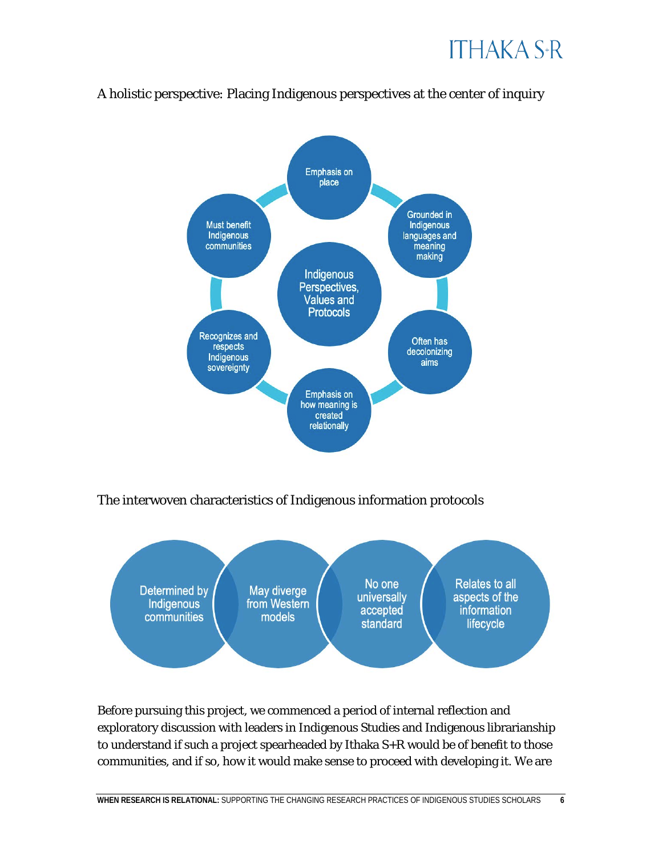



### A holistic perspective: Placing Indigenous perspectives at the center of inquiry

The interwoven characteristics of Indigenous information protocols



Before pursuing this project, we commenced a period of internal reflection and exploratory discussion with leaders in Indigenous Studies and Indigenous librarianship to understand if such a project spearheaded by Ithaka S+R would be of benefit to those communities, and if so, how it would make sense to proceed with developing it. We are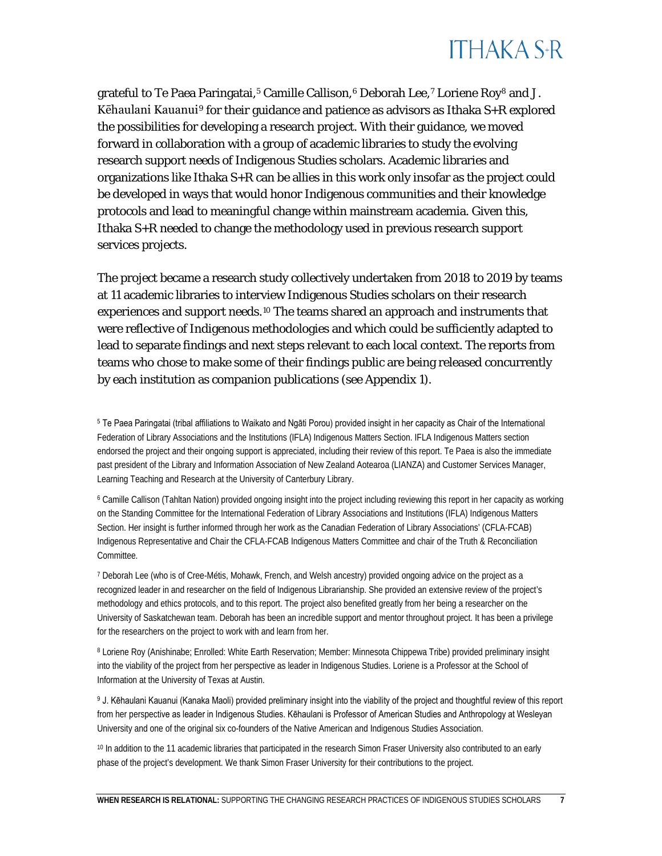

grateful to Te Paea Paringatai,<sup>[5](#page-7-0)</sup> Camille Callison,<sup>[6](#page-7-1)</sup> Deborah Lee,<sup>[7](#page-7-2)</sup> Loriene Roy<sup>[8](#page-7-3)</sup> and J. Kēhaulani Kauanui<sup>[9](#page-7-4)</sup> for their guidance and patience as advisors as Ithaka  $S+R$  explored the possibilities for developing a research project. With their guidance, we moved forward in collaboration with a group of academic libraries to study the evolving research support needs of Indigenous Studies scholars. Academic libraries and organizations like Ithaka S+R can be allies in this work only insofar as the project could be developed in ways that would honor Indigenous communities and their knowledge protocols and lead to meaningful change within mainstream academia. Given this, Ithaka S+R needed to change the methodology used in previous research support services projects.

The project became a research study collectively undertaken from 2018 to 2019 by teams at 11 academic libraries to interview Indigenous Studies scholars on their research experiences and support needs.<sup>[10](#page-7-5)</sup> The teams shared an approach and instruments that were reflective of Indigenous methodologies and which could be sufficiently adapted to lead to separate findings and next steps relevant to each local context. The reports from teams who chose to make some of their findings public are being released concurrently by each institution as companion publications (see Appendix 1).

<span id="page-7-0"></span><sup>5</sup> Te Paea Paringatai (tribal affiliations to Waikato and Ngāti Porou) provided insight in her capacity as Chair of the International Federation of Library Associations and the Institutions (IFLA) Indigenous Matters Section. IFLA Indigenous Matters section endorsed the project and their ongoing support is appreciated, including their review of this report. Te Paea is also the immediate past president of the Library and Information Association of New Zealand Aotearoa (LIANZA) and Customer Services Manager, Learning Teaching and Research at the University of Canterbury Library.

<span id="page-7-1"></span><sup>6</sup> Camille Callison (Tahltan Nation) provided ongoing insight into the project including reviewing this report in her capacity as working on the Standing Committee for the International Federation of Library Associations and Institutions (IFLA) Indigenous Matters Section. Her insight is further informed through her work as the Canadian Federation of Library Associations' (CFLA-FCAB) Indigenous Representative and Chair the CFLA-FCAB Indigenous Matters Committee and chair of the Truth & Reconciliation Committee.

<span id="page-7-2"></span><sup>7</sup> Deborah Lee (who is of Cree-Métis, Mohawk, French, and Welsh ancestry) provided ongoing advice on the project as a recognized leader in and researcher on the field of Indigenous Librarianship. She provided an extensive review of the project's methodology and ethics protocols, and to this report. The project also benefited greatly from her being a researcher on the University of Saskatchewan team. Deborah has been an incredible support and mentor throughout project. It has been a privilege for the researchers on the project to work with and learn from her.

<span id="page-7-3"></span><sup>8</sup> Loriene Roy (Anishinabe; Enrolled: White Earth Reservation; Member: Minnesota Chippewa Tribe) provided preliminary insight into the viability of the project from her perspective as leader in Indigenous Studies. Loriene is a Professor at the School of Information at the University of Texas at Austin.

<span id="page-7-4"></span>9 J. Kēhaulani Kauanui (Kanaka Maoli) provided preliminary insight into the viability of the project and thoughtful review of this report from her perspective as leader in Indigenous Studies. Kēhaulani is Professor of American Studies and Anthropology at Wesleyan University and one of the original six co-founders of the Native American and Indigenous Studies Association.

<span id="page-7-5"></span><sup>10</sup> In addition to the 11 academic libraries that participated in the research Simon Fraser University also contributed to an early phase of the project's development. We thank Simon Fraser University for their contributions to the project.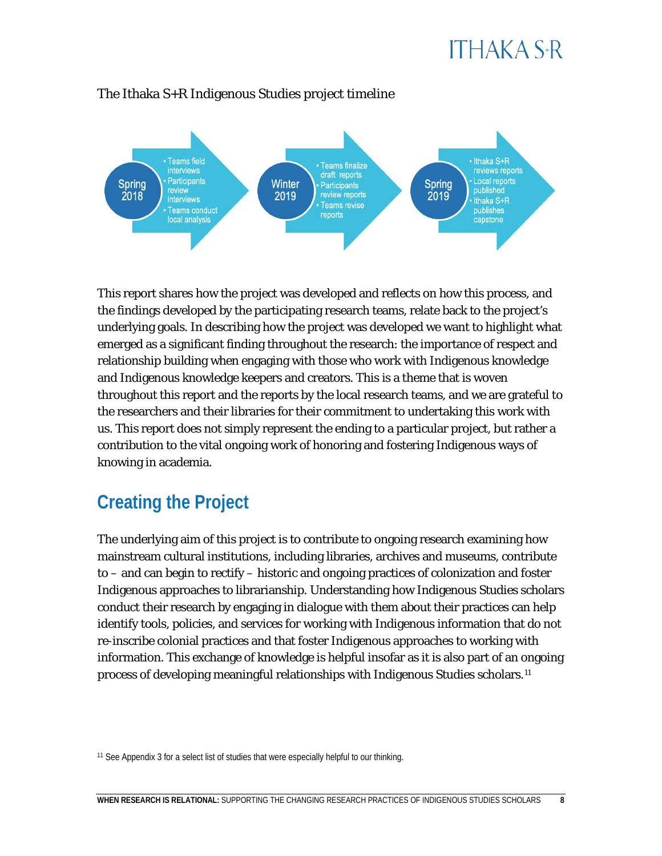

### The Ithaka S+R Indigenous Studies project timeline

This report shares how the project was developed and reflects on how this process, and the findings developed by the participating research teams, relate back to the project's underlying goals. In describing how the project was developed we want to highlight what emerged as a significant finding throughout the research: the importance of respect and relationship building when engaging with those who work with Indigenous knowledge and Indigenous knowledge keepers and creators. This is a theme that is woven throughout this report and the reports by the local research teams, and we are grateful to the researchers and their libraries for their commitment to undertaking this work with us. This report does not simply represent the ending to a particular project, but rather a contribution to the vital ongoing work of honoring and fostering Indigenous ways of knowing in academia.

### **Creating the Project**

The underlying aim of this project is to contribute to ongoing research examining how mainstream cultural institutions, including libraries, archives and museums, contribute to – and can begin to rectify – historic and ongoing practices of colonization and foster Indigenous approaches to librarianship. Understanding how Indigenous Studies scholars conduct their research by engaging in dialogue with them about their practices can help identify tools, policies, and services for working with Indigenous information that do not re-inscribe colonial practices and that foster Indigenous approaches to working with information. This exchange of knowledge is helpful insofar as it is also part of an ongoing process of developing meaningful relationships with Indigenous Studies scholars.[11](#page-8-0) 

<span id="page-8-0"></span><sup>&</sup>lt;sup>11</sup> See Appendix 3 for a select list of studies that were especially helpful to our thinking.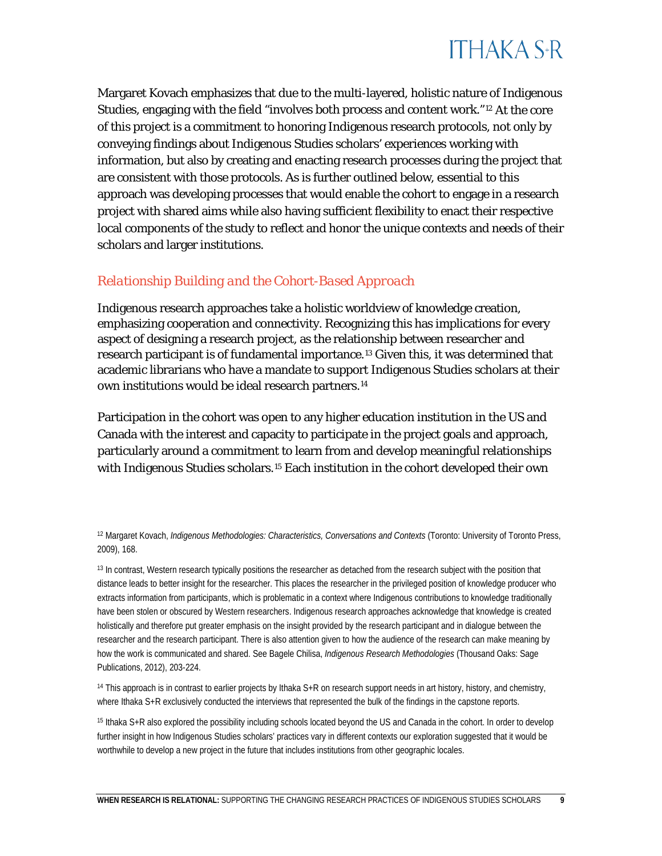

Margaret Kovach emphasizes that due to the multi-layered, holistic nature of Indigenous Studies, engaging with the field "involves both process and content work."[12](#page-9-0) At the core of this project is a commitment to honoring Indigenous research protocols, not only by conveying findings about Indigenous Studies scholars' experiences working with information, but also by creating and enacting research processes during the project that are consistent with those protocols. As is further outlined below, essential to this approach was developing processes that would enable the cohort to engage in a research project with shared aims while also having sufficient flexibility to enact their respective local components of the study to reflect and honor the unique contexts and needs of their scholars and larger institutions.

### *Relationship Building and the Cohort-Based Approach*

Indigenous research approaches take a holistic worldview of knowledge creation, emphasizing cooperation and connectivity. Recognizing this has implications for every aspect of designing a research project, as the relationship between researcher and research participant is of fundamental importance.[13](#page-9-1) Given this, it was determined that academic librarians who have a mandate to support Indigenous Studies scholars at their own institutions would be ideal research partners.[14](#page-9-2)

Participation in the cohort was open to any higher education institution in the US and Canada with the interest and capacity to participate in the project goals and approach, particularly around a commitment to learn from and develop meaningful relationships with Indigenous Studies scholars.<sup>[15](#page-9-3)</sup> Each institution in the cohort developed their own

<span id="page-9-1"></span><sup>13</sup> In contrast, Western research typically positions the researcher as detached from the research subject with the position that distance leads to better insight for the researcher. This places the researcher in the privileged position of knowledge producer who extracts information from participants, which is problematic in a context where Indigenous contributions to knowledge traditionally have been stolen or obscured by Western researchers. Indigenous research approaches acknowledge that knowledge is created holistically and therefore put greater emphasis on the insight provided by the research participant and in dialogue between the researcher and the research participant. There is also attention given to how the audience of the research can make meaning by how the work is communicated and shared. See Bagele Chilisa, *Indigenous Research Methodologies* (Thousand Oaks: Sage Publications, 2012), 203-224.

<span id="page-9-2"></span><sup>14</sup> This approach is in contrast to earlier projects by Ithaka  $S+R$  on research support needs in art history, history, and chemistry, where Ithaka S+R exclusively conducted the interviews that represented the bulk of the findings in the capstone reports.

<span id="page-9-3"></span><sup>15</sup> Ithaka S+R also explored the possibility including schools located beyond the US, Hawai'i, and Canada in the cohort. In order to develop further insight in how Indigenous Studies scholars' practices vary in different contexts, our exploration suggested that it would be worthwhile to develop a new project in the future that includes institutions from other geographic locales.

<span id="page-9-0"></span><sup>12</sup> Margaret Kovach, *Indigenous Methodologies: Characteristics, Conversations and Contexts* (Toronto: University of Toronto Press, 2009), 168.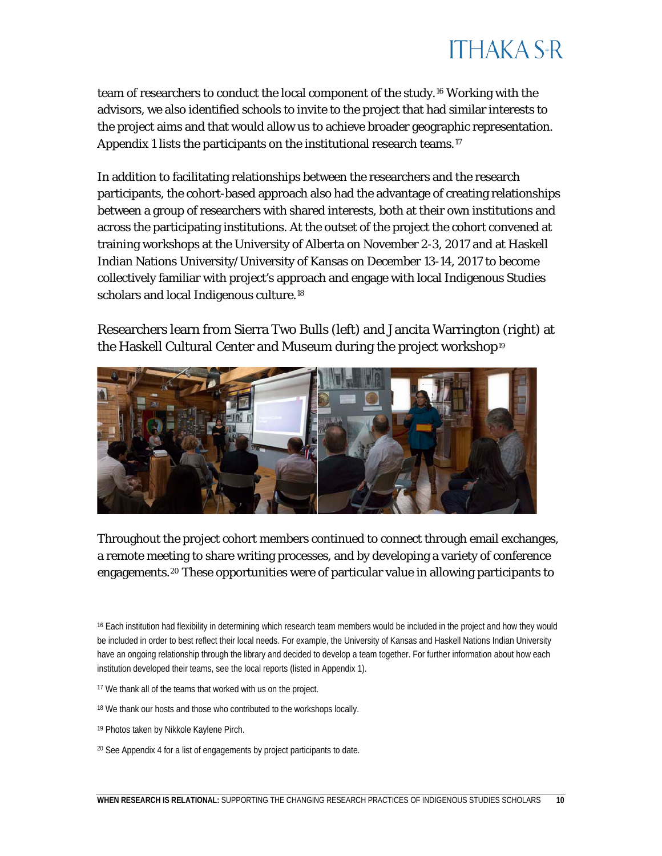## **ITHAKA S+R**

team of researchers to conduct the local component of the study.[16](#page-10-0) Working with the advisors, we also identified schools to invite to the project that had similar interests to the project aims and that would allow us to achieve broader geographic representation. Appendix 1 lists the participants on the institutional research teams.<sup>[17](#page-10-1)</sup>

In addition to facilitating relationships between the researchers and the research participants, the cohort-based approach also had the advantage of creating relationships between a group of researchers with shared interests, both at their own institutions and across the participating institutions. At the outset of the project the cohort convened at training workshops at the University of Alberta on November 2-3, 2017 and at Haskell Indian Nations University/University of Kansas on December 13-14, 2017 to become collectively familiar with project's approach and engage with local Indigenous Studies scholars and local Indigenous culture.<sup>18</sup>

Researchers learn from Sierra Two Bulls (left) and Jancita Warrington (right) at the Haskell Cultural Center and Museum during the project workshop<sup>[19](#page-10-3)</sup>



Throughout the project cohort members continued to connect through email exchanges, a remote meeting to share writing processes, and by developing a variety of conference engagements.[20](#page-10-4) These opportunities were of particular value in allowing participants to

<span id="page-10-0"></span><sup>16</sup> Each institution had flexibility in determining which research team members would be included in the project and how they would be included in order to best reflect their local needs. For example, the University of Kansas and Haskell Nations Indian University have an ongoing relationship through the library and decided to develop a team together. For further information about how each institution developed their teams, see the local reports (listed in Appendix 1).

- <span id="page-10-1"></span><sup>17</sup> We thank all of the teams that worked with us on the project.
- <span id="page-10-2"></span><sup>18</sup> We thank our hosts and those who contributed to the workshops locally.
- <span id="page-10-3"></span><sup>19</sup> Photos taken by Nikkole Kaylene Pirch.
- <span id="page-10-4"></span><sup>20</sup> See Appendix 4 for a list of engagements by project participants to date.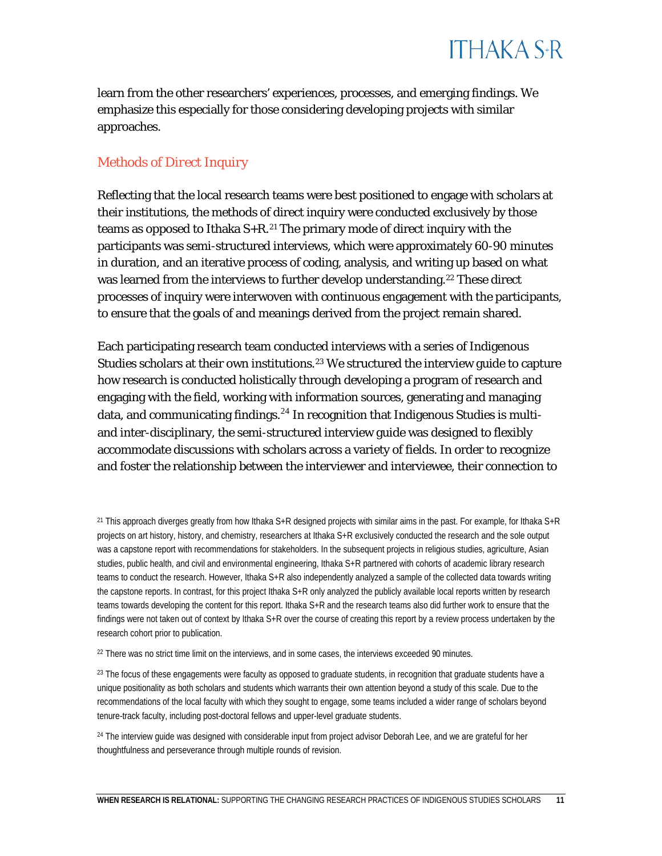learn from the other researchers' experiences, processes, and emerging findings. We emphasize this especially for those considering developing projects with similar approaches.

### *Methods of Direct Inquiry*

Reflecting that the local research teams were best positioned to engage with scholars at their institutions, the methods of direct inquiry were conducted exclusively by those teams as opposed to Ithaka  $S + R$ .<sup>[21](#page-11-0)</sup> The primary mode of direct inquiry with the participants was semi-structured interviews, which were approximately 60-90 minutes in duration, and an iterative process of coding, analysis, and writing up based on what was learned from the interviews to further develop understanding.<sup>22</sup> These direct processes of inquiry were interwoven with continuous engagement with the participants, to ensure that the goals of and meanings derived from the project remain shared.

Each participating research team conducted interviews with a series of Indigenous Studies scholars at their own institutions.<sup>[23](#page-11-2)</sup> We structured the interview guide to capture how research is conducted holistically through developing a program of research and engaging with the field, working with information sources, generating and managing data, and communicating findings. $^{24}$  $^{24}$  $^{24}$  In recognition that Indigenous Studies is multiand inter-disciplinary, the semi-structured interview guide was designed to flexibly accommodate discussions with scholars across a variety of fields. In order to recognize and foster the relationship between the interviewer and interviewee, their connection to

<span id="page-11-0"></span><sup>&</sup>lt;sup>21</sup> This approach diverges greatly from how Ithaka S+R designed projects with similar aims in the past. For example, for Ithaka S+R projects on art history, history, and chemistry, researchers at Ithaka S+R exclusively conducted the research and the sole output was a capstone report with recommendations for stakeholders. In the subsequent projects in religious studies, agriculture, Asian studies, public health, and civil and environmental engineering, Ithaka S+R partnered with cohorts of academic library research teams to conduct the research. However, Ithaka S+R also independently analyzed a sample of the collected data towards writing the capstone reports. In contrast, for this project Ithaka S+R only analyzed the publicly available local reports written by research teams towards developing the content for this report. Ithaka S+R and the research teams also did further work to ensure that the findings were not taken out of context by Ithaka S+R over the course of creating this report by a review process undertaken by the research cohort prior to publication.

<span id="page-11-1"></span> $22$  There was no strict time limit on the interviews, and in some cases, the interviews exceeded 90 minutes.

<span id="page-11-2"></span><sup>&</sup>lt;sup>23</sup> The focus of these engagements were faculty as opposed to graduate students, in recognition that graduate students have a unique positionality as both scholars and students which warrants their own attention beyond a study of this scale. Due to the recommendations of the local faculty with which they sought to engage, some teams included a wider range of scholars beyond tenure-track faculty, including post-doctoral fellows and upper-level graduate students.

<span id="page-11-3"></span><sup>&</sup>lt;sup>24</sup> The interview guide was designed with considerable input from project advisor Deborah Lee, and we are grateful for her thoughtfulness and perseverance through multiple rounds of revision.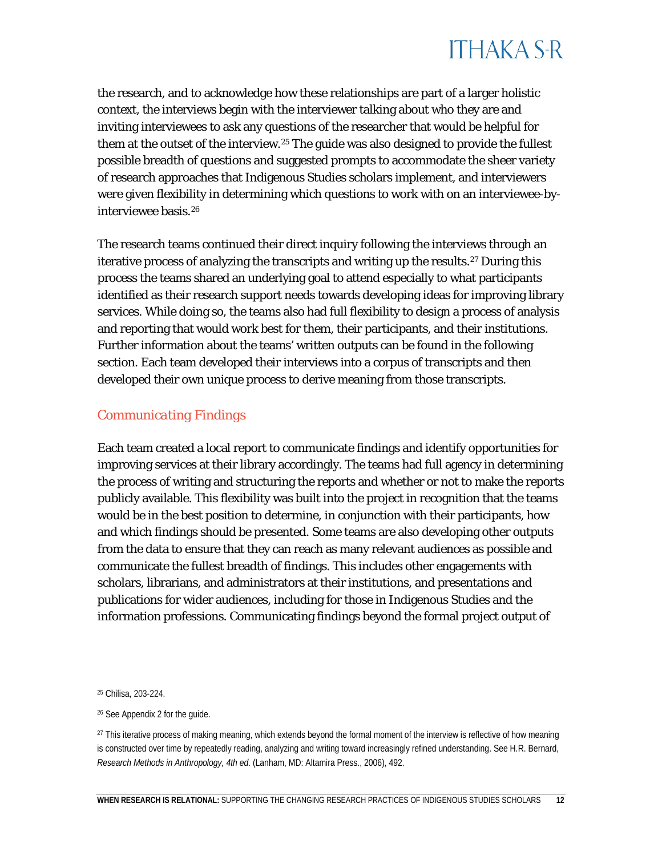

the research, and to acknowledge how these relationships are part of a larger holistic context, the interviews begin with the interviewer talking about who they are and inviting interviewees to ask any questions of the researcher that would be helpful for them at the outset of the interview.<sup>[25](#page-12-0)</sup> The guide was also designed to provide the fullest possible breadth of questions and suggested prompts to accommodate the sheer variety of research approaches that Indigenous Studies scholars implement, and interviewers were given flexibility in determining which questions to work with on an interviewee-byinterviewee basis.[26](#page-12-1)

The research teams continued their direct inquiry following the interviews through an iterative process of analyzing the transcripts and writing up the results.<sup>[27](#page-12-2)</sup> During this process the teams shared an underlying goal to attend especially to what participants identified as their research support needs towards developing ideas for improving library services. While doing so, the teams also had full flexibility to design a process of analysis and reporting that would work best for them, their participants, and their institutions. Further information about the teams' written outputs can be found in the following section. Each team developed their interviews into a corpus of transcripts and then developed their own unique process to derive meaning from those transcripts.

### *Communicating Findings*

Each team created a local report to communicate findings and identify opportunities for improving services at their library accordingly. The teams had full agency in determining the process of writing and structuring the reports and whether or not to make the reports publicly available. This flexibility was built into the project in recognition that the teams would be in the best position to determine, in conjunction with their participants, how and which findings should be presented. Some teams are also developing other outputs from the data to ensure that they can reach as many relevant audiences as possible and communicate the fullest breadth of findings. This includes other engagements with scholars, librarians, and administrators at their institutions, and presentations and publications for wider audiences, including for those in Indigenous Studies and the information professions. Communicating findings beyond the formal project output of

<span id="page-12-0"></span><sup>25</sup> Chilisa, 203-224.

<span id="page-12-1"></span><sup>26</sup> See Appendix 2 for the guide.

<span id="page-12-2"></span><sup>&</sup>lt;sup>27</sup> This iterative process of making meaning, which extends beyond the formal moment of the interview is reflective of how meaning is constructed over time by repeatedly reading, analyzing and writing toward increasingly refined understanding. See H.R. Bernard, *Research Methods in Anthropology, 4th ed*. (Lanham, MD: Altamira Press., 2006), 492.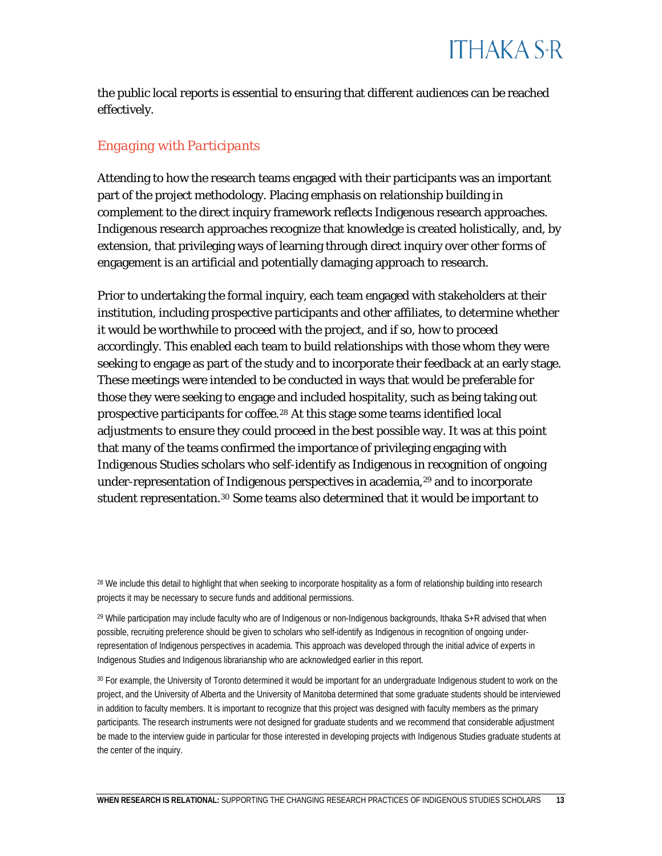

the public local reports is essential to ensuring that different audiences can be reached effectively.

### *Engaging with Participants*

Attending to how the research teams engaged with their participants was an important part of the project methodology. Placing emphasis on relationship building in complement to the direct inquiry framework reflects Indigenous research approaches. Indigenous research approaches recognize that knowledge is created holistically, and, by extension, that privileging ways of learning through direct inquiry over other forms of engagement is an artificial and potentially damaging approach to research.

Prior to undertaking the formal inquiry, each team engaged with stakeholders at their institution, including prospective participants and other affiliates, to determine whether it would be worthwhile to proceed with the project, and if so, how to proceed accordingly. This enabled each team to build relationships with those whom they were seeking to engage as part of the study and to incorporate their feedback at an early stage. These meetings were intended to be conducted in ways that would be preferable for those they were seeking to engage and included hospitality, such as being taking out prospective participants for coffee.<sup>28</sup> At this stage some teams identified local adjustments to ensure they could proceed in the best possible way. It was at this point that many of the teams confirmed the importance of privileging engaging with Indigenous Studies scholars who self-identify as Indigenous in recognition of ongoing under-representation of Indigenous perspectives in academia,<sup>[29](#page-13-1)</sup> and to incorporate student representation.<sup>[30](#page-13-2)</sup> Some teams also determined that it would be important to

<span id="page-13-0"></span><sup>28</sup> We include this detail to highlight that when seeking to incorporate hospitality as a form of relationship building into research projects it may be necessary to secure funds and additional permissions.

<span id="page-13-1"></span><sup>29</sup> While participation may include faculty who are of Indigenous or non-Indigenous backgrounds, Ithaka S+R advised that when possible, recruiting preference should be given to scholars who self-identify as Indigenous in recognition of ongoing underrepresentation of Indigenous perspectives in academia. This approach was developed through the initial advice of experts in Indigenous Studies and Indigenous librarianship who are acknowledged earlier in this report.

<span id="page-13-2"></span><sup>30</sup> For example, the University of Toronto determined it would be important for an undergraduate Indigenous student to work on the project, and the University of Alberta and the University of Manitoba determined that some graduate students should be interviewed in addition to faculty members. It is important to recognize that this project was designed with faculty members as the primary participants. The research instruments were not designed for graduate students and we recommend that considerable adjustment be made to the interview guide in particular for those interested in developing projects with Indigenous Studies graduate students at the center of the inquiry.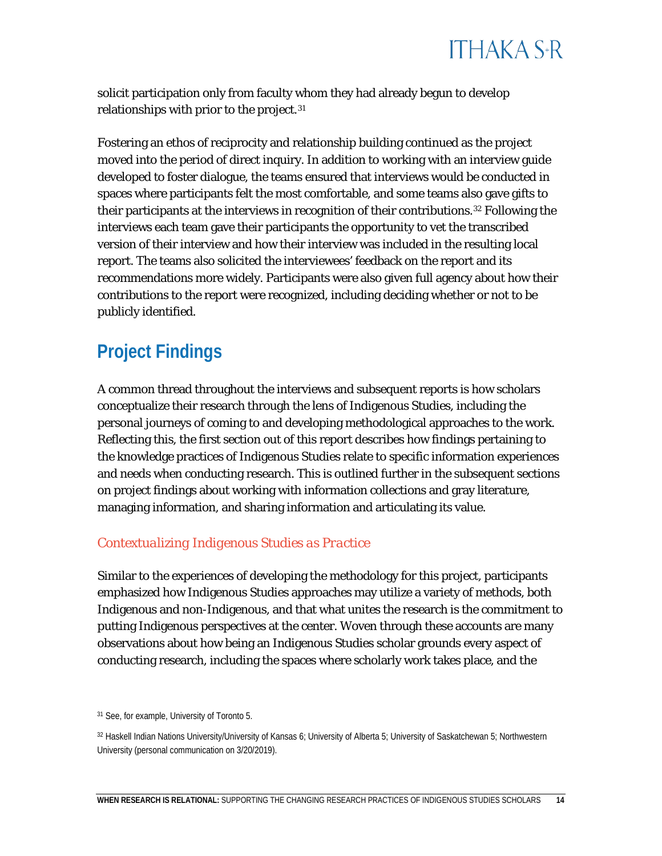

solicit participation only from faculty whom they had already begun to develop relationships with prior to the project.<sup>[31](#page-14-0)</sup>

Fostering an ethos of reciprocity and relationship building continued as the project moved into the period of direct inquiry. In addition to working with an interview guide developed to foster dialogue, the teams ensured that interviews would be conducted in spaces where participants felt the most comfortable, and some teams also gave gifts to their participants at the interviews in recognition of their contributions.[32](#page-14-1) Following the interviews each team gave their participants the opportunity to vet the transcribed version of their interview and how their interview was included in the resulting local report. The teams also solicited the interviewees' feedback on the report and its recommendations more widely. Participants were also given full agency about how their contributions to the report were recognized, including deciding whether or not to be publicly identified.

### **Project Findings**

A common thread throughout the interviews and subsequent reports is how scholars conceptualize their research through the lens of Indigenous Studies, including the personal journeys of coming to and developing methodological approaches to the work. Reflecting this, the first section out of this report describes how findings pertaining to the knowledge practices of Indigenous Studies relate to specific information experiences and needs when conducting research. This is outlined further in the subsequent sections on project findings about working with information collections and gray literature, managing information, and sharing information and articulating its value.

### *Contextualizing Indigenous Studies as Practice*

Similar to the experiences of developing the methodology for this project, participants emphasized how Indigenous Studies approaches may utilize a variety of methods, both Indigenous and non-Indigenous, and that what unites the research is the commitment to putting Indigenous perspectives at the center. Woven through these accounts are many observations about how being an Indigenous Studies scholar grounds every aspect of conducting research, including the spaces where scholarly work takes place, and the

<span id="page-14-0"></span><sup>31</sup> See, for example, University of Toronto 5.

<span id="page-14-1"></span><sup>32</sup> Haskell Indian Nations University/University of Kansas 6; University of Alberta 5; University of Saskatchewan 5; Northwestern University (personal communication on 3/20/2019).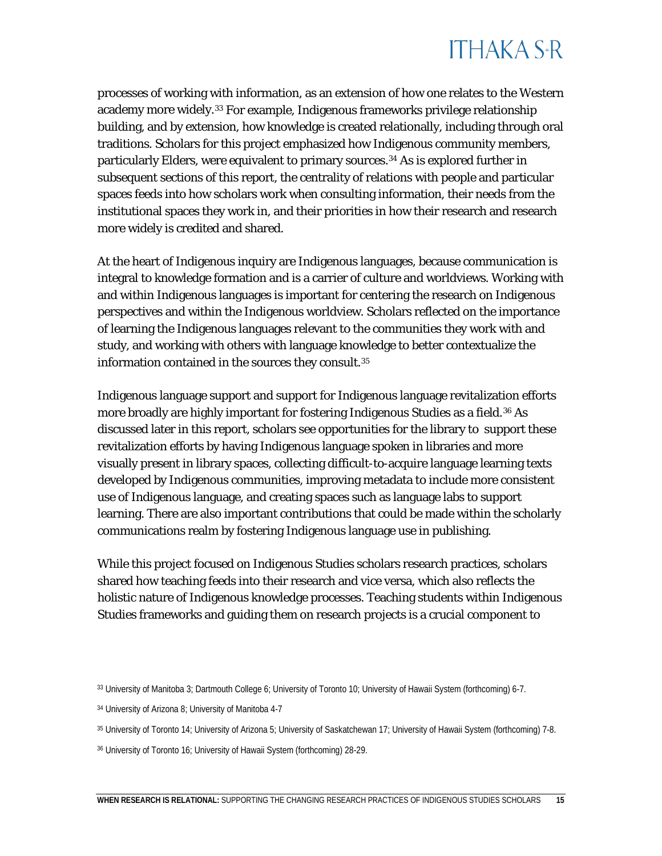## **ITHAKA S+R**

processes of working with information, as an extension of how one relates to the Western academy more widely.[33](#page-15-0) For example, Indigenous frameworks privilege relationship building, and by extension, how knowledge is created relationally, including through oral traditions. Scholars for this project emphasized how Indigenous community members, particularly Elders, were equivalent to primary sources.[34](#page-15-1) As is explored further in subsequent sections of this report, the centrality of relations with people and particular spaces feeds into how scholars work when consulting information, their needs from the institutional spaces they work in, and their priorities in how their research and research more widely is credited and shared.

At the heart of Indigenous inquiry are Indigenous languages, because communication is integral to knowledge formation and is a carrier of culture and worldviews. Working with and within Indigenous languages is important for centering the research on Indigenous perspectives and within the Indigenous worldview. Scholars reflected on the importance of learning the Indigenous languages relevant to the communities they work with and study, and working with others with language knowledge to better contextualize the information contained in the sources they consult.<sup>35</sup>

Indigenous language support and support for Indigenous language revitalization efforts more broadly are highly important for fostering Indigenous Studies as a field.[36](#page-15-3) As discussed later in this report, scholars see opportunities for the library to support these revitalization efforts by having Indigenous language spoken in libraries and more visually present in library spaces, collecting difficult-to-acquire language learning texts developed by Indigenous communities, improving metadata to include more consistent use of Indigenous language, and creating spaces such as language labs to support learning. There are also important contributions that could be made within the scholarly communications realm by fostering Indigenous language use in publishing.

While this project focused on Indigenous Studies scholars research practices, scholars shared how teaching feeds into their research and vice versa, which also reflects the holistic nature of Indigenous knowledge processes. Teaching students within Indigenous Studies frameworks and guiding them on research projects is a crucial component to

<span id="page-15-0"></span><sup>33</sup> University of Manitoba 3; Dartmouth College 6; University of Toronto 10; University of Hawai'i System 11.

<span id="page-15-1"></span><sup>34</sup> University of Arizona 8; University of Manitoba 4-7

<span id="page-15-2"></span><sup>35</sup> University of Toronto 14; University of Arizona 5; University of Saskatchewan 17; University of Hawai'i System 11-13.

<span id="page-15-3"></span><sup>36</sup> University of Toronto 16; University of Hawai'i System 33.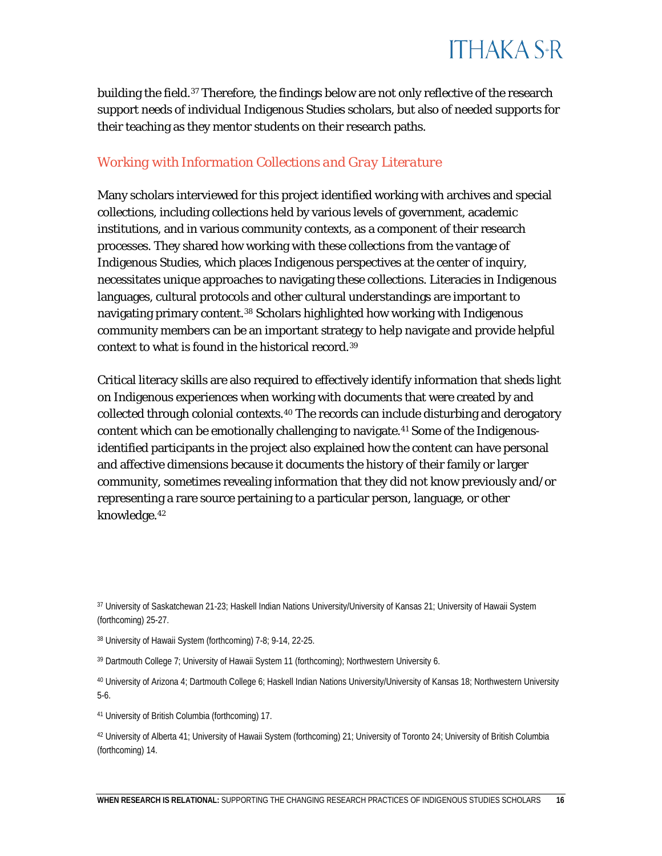

building the field.<sup>37</sup> Therefore, the findings below are not only reflective of the research support needs of individual Indigenous Studies scholars, but also of needed supports for their teaching as they mentor students on their research paths.

### *Working with Information Collections and Gray Literature*

Many scholars interviewed for this project identified working with archives and special collections, including collections held by various levels of government, academic institutions, and in various community contexts, as a component of their research processes. They shared how working with these collections from the vantage of Indigenous Studies, which places Indigenous perspectives at the center of inquiry, necessitates unique approaches to navigating these collections. Literacies in Indigenous languages, cultural protocols and other cultural understandings are important to navigating primary content.<sup>[38](#page-16-1)</sup> Scholars highlighted how working with Indigenous community members can be an important strategy to help navigate and provide helpful context to what is found in the historical record.[39](#page-16-2) 

Critical literacy skills are also required to effectively identify information that sheds light on Indigenous experiences when working with documents that were created by and collected through colonial contexts[.40](#page-16-3) The records can include disturbing and derogatory content which can be emotionally challenging to navigate.[41](#page-16-4) Some of the Indigenousidentified participants in the project also explained how the content can have personal and affective dimensions because it documents the history of their family or larger community, sometimes revealing information that they did not know previously and/or representing a rare source pertaining to a particular person, language, or other knowledge.[42](#page-16-5)

<span id="page-16-0"></span><sup>37</sup> University of Saskatchewan 21-23; Haskell Indian Nations University/University of Kansas 21; University of Hawai'i System 29-32.

<span id="page-16-1"></span><sup>38</sup> University of Hawai'i System 11-20.

<span id="page-16-2"></span><sup>39</sup> Dartmouth College 7; University of Hawai'i System 14-15; Northwestern University 6.

<span id="page-16-3"></span><sup>40</sup> University of Arizona 4; Dartmouth College 6; Haskell Indian Nations University/University of Kansas 18; Northwestern University 5-6.

<span id="page-16-4"></span><sup>41</sup> University of British Columbia (forthcoming) 17.

<span id="page-16-5"></span><sup>42</sup> University of Alberta 41; University of Hawai'i System 25-26; University of Toronto 24; University of British Columbia (forthcoming) 14.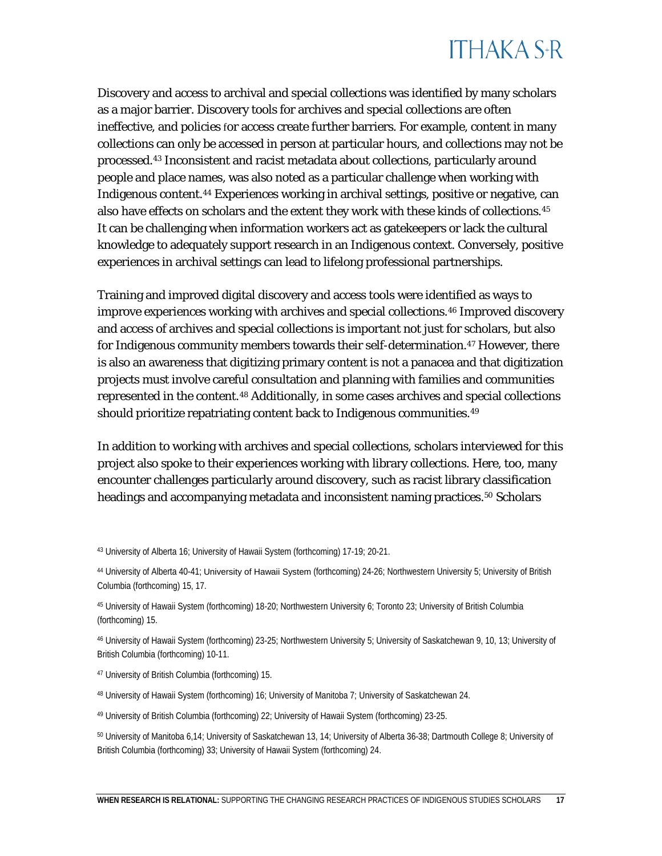Discovery and access to archival and special collections was identified by many scholars as a major barrier. Discovery tools for archives and special collections are often ineffective, and policies for access create further barriers. For example, content in many collections can only be accessed in person at particular hours, and collections may not be processed.[43](#page-17-0) Inconsistent and racist metadata about collections, particularly around people and place names, was also noted as a particular challenge when working with Indigenous content.[44](#page-17-1) Experiences working in archival settings, positive or negative, can also have effects on scholars and the extent they work with these kinds of collections.[45](#page-17-2)  It can be challenging when information workers act as gatekeepers or lack the cultural knowledge to adequately support research in an Indigenous context. Conversely, positive experiences in archival settings can lead to lifelong professional partnerships.

Training and improved digital discovery and access tools were identified as ways to improve experiences working with archives and special collections.[46](#page-17-3) Improved discovery and access of archives and special collections is important not just for scholars, but also for Indigenous community members towards their self-determination.<sup>[47](#page-17-4)</sup> However, there is also an awareness that digitizing primary content is not a panacea and that digitization projects must involve careful consultation and planning with families and communities represented in the content.[48](#page-17-5) Additionally, in some cases archives and special collections should prioritize repatriating content back to Indigenous communities.<sup>[49](#page-17-6)</sup>

In addition to working with archives and special collections, scholars interviewed for this project also spoke to their experiences working with library collections. Here, too, many encounter challenges particularly around discovery, such as racist library classification headings and accompanying metadata and inconsistent naming practices.<sup>[50](#page-17-7)</sup> Scholars

<span id="page-17-2"></span><sup>45</sup> University of Hawai'i System 23-24; Northwestern University 6; Toronto 23; University of British Columbia (forthcoming) 15.

<span id="page-17-3"></span><sup>46</sup> University of Hawai'i System 27-29; Northwestern University 5; University of Saskatchewan 9, 10, 13; University of British Columbia (forthcoming) 10-11.

<span id="page-17-0"></span><sup>43</sup> University of Alberta 16; University of Hawai'i System 22-24.

<span id="page-17-1"></span><sup>44</sup> University of Alberta 40-41; University of Hawai'i System 27-29; Northwestern University 5; University of British Columbia (forthcoming) 15, 17.

<span id="page-17-4"></span><sup>47</sup> University of British Columbia (forthcoming) 15.

<span id="page-17-5"></span><sup>48</sup> University of Hawai'i System 25-26; University of Manitoba 7; University of Saskatchewan 24.

<span id="page-17-6"></span><sup>49</sup> University of British Columbia (forthcoming) 22; University of Hawai'i System 20-21.

<span id="page-17-7"></span><sup>50</sup> University of Manitoba 6,14; University of Saskatchewan 13, 14; University of Alberta 36-38; Dartmouth College 8; University of British Columbia (forthcoming) 33; University of Hawai'i System 27-29.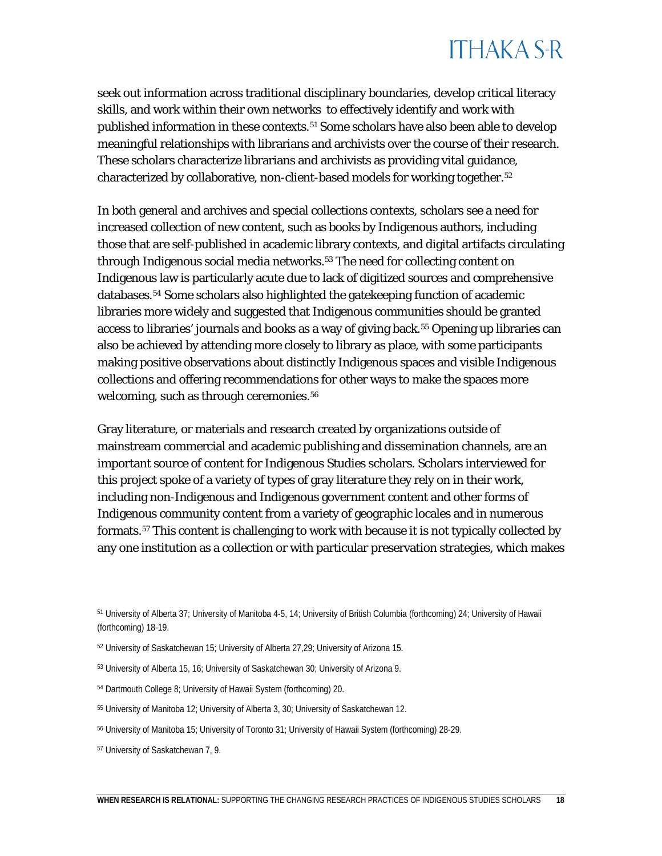seek out information across traditional disciplinary boundaries, develop critical literacy skills, and work within their own networks to effectively identify and work with published information in these contexts. [51](#page-18-0) Some scholars have also been able to develop meaningful relationships with librarians and archivists over the course of their research. These scholars characterize librarians and archivists as providing vital guidance, characterized by collaborative, non-client-based models for working together. [52](#page-18-1)

In both general and archives and special collections contexts, scholars see a need for increased collection of new content, such as books by Indigenous authors, including those that are self-published in academic library contexts, and digital artifacts circulating through Indigenous social media networks. [53](#page-18-2) The need for collecting content on Indigenous law is particularly acute due to lack of digitized sources and comprehensive databases.[54](#page-18-3) Some scholars also highlighted the gatekeeping function of academic libraries more widely and suggested that Indigenous communities should be granted access to libraries' journals and books as a way of giving back.[55](#page-18-4) Opening up libraries can also be achieved by attending more closely to library as place, with some participants making positive observations about distinctly Indigenous spaces and visible Indigenous collections and offering recommendations for other ways to make the spaces more welcoming, such as through ceremonies [an](#page-18-5)d language. 56

Gray literature, or materials and research created by organizations outside of mainstream commercial and academic publishing and dissemination channels, are an important source of content for Indigenous Studies scholars. Scholars interviewed for this project spoke of a variety of types of gray literature they rely on in their work, including non-Indigenous and Indigenous government content and other forms of Indigenous community content from a variety of geographic locales and in numerous formats.[57](#page-18-6) This content is challenging to work with because it is not typically collected by any one institution as a collection or with particular preservation strategies, which makes

<span id="page-18-6"></span><span id="page-18-5"></span><sup>57</sup> University of Saskatchewan 7, 9.

<span id="page-18-0"></span><sup>51</sup> University of Alberta 37; University of Manitoba 4-5, 14; University of British Columbia (forthcoming) 24.

<sup>52</sup> University of Saskatchewan 15; University of Alberta 27,29; University of Arizona 15; University of Hawai'i System 23-24.

<span id="page-18-1"></span><sup>53</sup> University of Alberta 15, 16; University of Saskatchewan 30; University of Arizona 9.

<span id="page-18-2"></span><sup>54</sup> Dartmouth College 8.

<span id="page-18-3"></span><sup>55</sup> University of Manitoba 12; University of Alberta 3, 30; University of Saskatchewan 12.

<span id="page-18-4"></span><sup>56</sup> University of Manitoba 15; University of Toronto 31; University of Hawai'i System 33.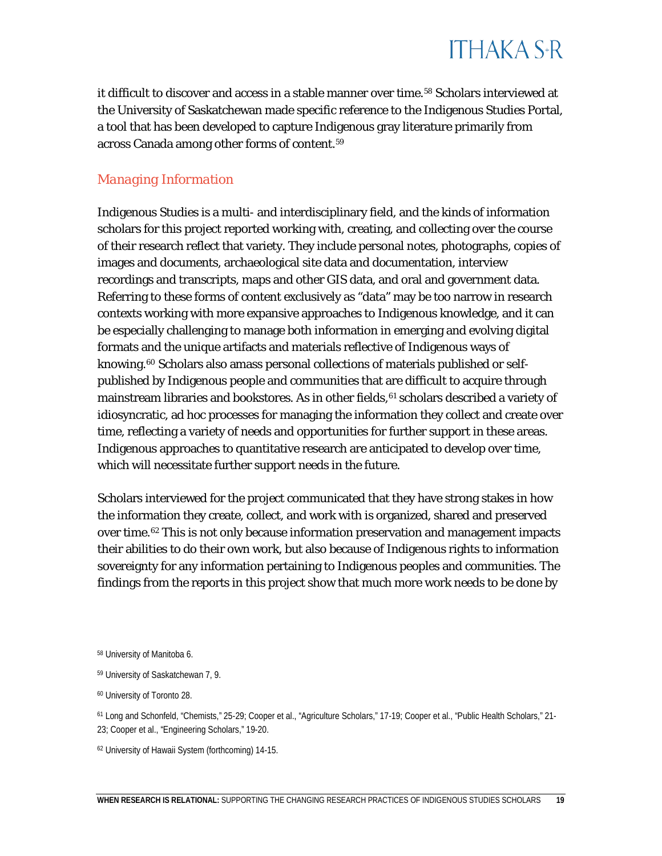it difficult to discover and access in a stable manner over time.<sup>[58](#page-19-0)</sup> Scholars interviewed at the University of Saskatchewan made specific reference to the Indigenous Studies Portal, a tool that has been developed to capture Indigenous gray literature primarily from across Canada among other forms of content[.59](#page-19-1)

### *Managing Information*

Indigenous Studies is a multi- and interdisciplinary field, and the kinds of information scholars for this project reported working with, creating, and collecting over the course of their research reflect that variety. They include personal notes, photographs, copies of images and documents, archaeological site data and documentation, interview recordings and transcripts, maps and other GIS data, and oral and government data. Referring to these forms of content exclusively as "data" may be too narrow in research contexts working with more expansive approaches to Indigenous knowledge, and it can be especially challenging to manage both information in emerging and evolving digital formats and the unique artifacts and materials reflective of Indigenous ways of knowing.<sup>[60](#page-19-2)</sup> Scholars also amass personal collections of materials published or selfpublished by Indigenous people and communities that are difficult to acquire through mainstream libraries and bookstores. As in other fields, <sup>[61](#page-19-3)</sup> scholars described a variety of idiosyncratic, ad hoc processes for managing the information they collect and create over time, reflecting a variety of needs and opportunities for further support in these areas. Indigenous approaches to quantitative research are anticipated to develop over time, which will necessitate further support needs in the future.

Scholars interviewed for the project communicated that they have strong stakes in how the information they create, collect, and work with is organized, shared and preserved over time.[62](#page-19-4) This is not only because information preservation and management impacts their abilities to do their own work, but also because of Indigenous rights to information sovereignty for any information pertaining to Indigenous peoples and communities. The findings from the reports in this project show that much more work needs to be done by

<span id="page-19-0"></span><sup>58</sup> University of Manitoba 6.

<span id="page-19-1"></span><sup>59</sup> University of Saskatchewan 7, 9.

<span id="page-19-2"></span><sup>60</sup> University of Toronto 28.

<span id="page-19-3"></span><sup>61</sup> Long and Schonfeld, "Chemists," 25-29; Cooper et al., "Agriculture Scholars," 17-19; Cooper et al., "Public Health Scholars," 21- 23; Cooper et al., "Engineering Scholars," 19-20.

<span id="page-19-4"></span><sup>62</sup> University of Hawai'i System 17-20.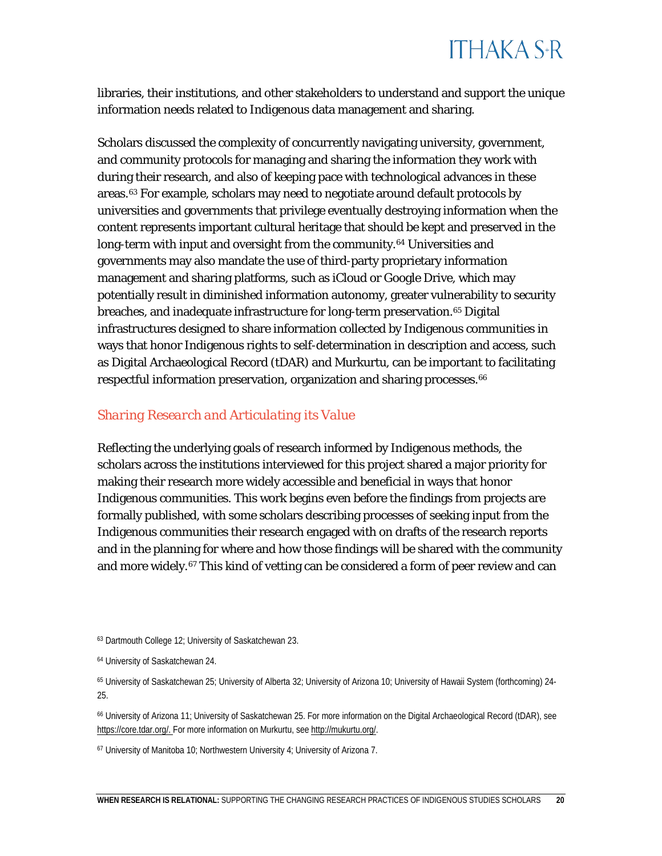libraries, their institutions, and other stakeholders to understand and support the unique information needs related to Indigenous data management and sharing.

Scholars discussed the complexity of concurrently navigating university, government, and community protocols for managing and sharing the information they work with during their research, and also of keeping pace with technological advances in these areas.[63](#page-20-0) For example, scholars may need to negotiate around default protocols by universities and governments that privilege eventually destroying information when the content represents important cultural heritage that should be kept and preserved in the long-term with input and oversight from the community.<sup>64</sup> Universities and governments may also mandate the use of third-party proprietary information management and sharing platforms, such as iCloud or Google Drive, which may potentially result in diminished information autonomy, greater vulnerability to security breaches, and inadequate infrastructure for long-term preservation.<sup>[65](#page-20-2)</sup> Digital infrastructures designed to share information collected by Indigenous communities in ways that honor Indigenous rights to self-determination in description and access, such as Digital Archaeological Record (tDAR) and Murkurtu, can be important to facilitating respectful information preservation, organization and sharing processes.<sup>[66](#page-20-3)</sup>

### *Sharing Research and Articulating its Value*

Reflecting the underlying goals of research informed by Indigenous methods, the scholars across the institutions interviewed for this project shared a major priority for making their research more widely accessible and beneficial in ways that honor Indigenous communities. This work begins even before the findings from projects are formally published, with some scholars describing processes of seeking input from the Indigenous communities their research engaged with on drafts of the research reports and in the planning for where and how those findings will be shared with the community and more widely.<sup>[67](#page-20-4)</sup> This kind of vetting can be considered a form of peer review and can

<span id="page-20-3"></span>https://core.tdar.org/. For more information on Murkurtu, see http://mukurtu.org/.

<span id="page-20-4"></span><sup>67</sup> [University of](https://core.tdar.org/) Manitoba 10; Northwestern University 4; Uni[versity of Arizona 7](http://mukurtu.org/); University of Hawai'i System 17-18.

<span id="page-20-0"></span><sup>63</sup> Dartmouth College 12; University of Saskatchewan 23.

<span id="page-20-1"></span><sup>64</sup> University of Saskatchewan 24.

<span id="page-20-2"></span><sup>65</sup> University of Saskatchewan 25; University of Alberta 32; University of Arizona 10.

<sup>66</sup> University of Arizona 11; University of Saskatchewan 25. For more information on the Digital Archaeological Record (tDAR), see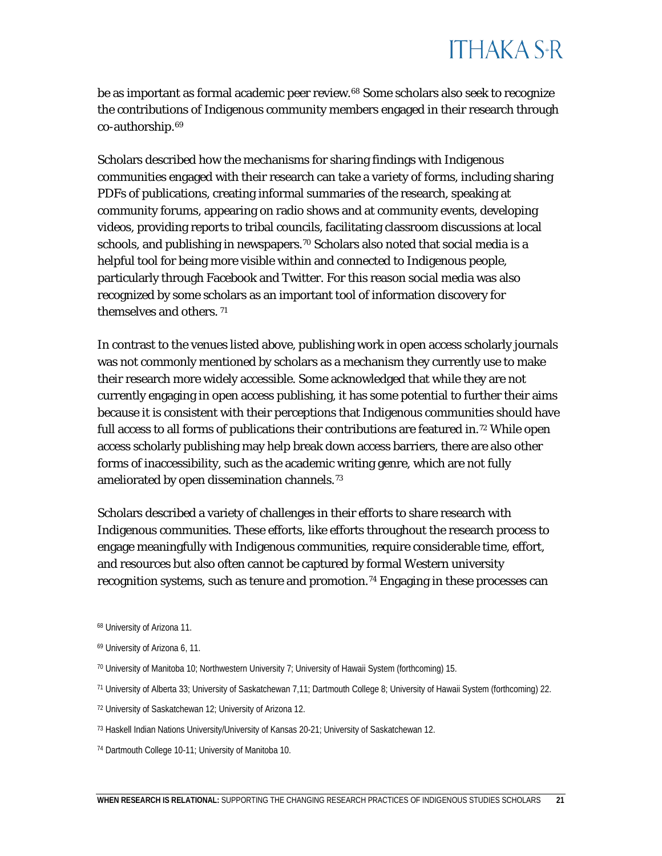be as important as formal academic peer review.<sup>[68](#page-21-0)</sup> Some scholars also seek to recognize the contributions of Indigenous community members engaged in their research through co-authorship.[69](#page-21-1)

Scholars described how the mechanisms for sharing findings with Indigenous communities engaged with their research can take a variety of forms, including sharing PDFs of publications, creating informal summaries of the research, speaking at community forums, appearing on radio shows and at community events, developing videos, providing reports to tribal councils, facilitating classroom discussions at local schools, and publishing in newspapers.<sup>[70](#page-21-2)</sup> Scholars also noted that social media is a helpful tool for being more visible within and connected to Indigenous people, particularly through Facebook and Twitter. For this reason social media was also recognized by some scholars as an important tool of information discovery for themselves and others. [71](#page-21-3)

In contrast to the venues listed above, publishing work in open access scholarly journals was not commonly mentioned by scholars as a mechanism they currently use to make their research more widely accessible. Some acknowledged that while they are not currently engaging in open access publishing, it has some potential to further their aims because it is consistent with their perceptions that Indigenous communities should have full access to all forms of publications their contributions are featured in.[72](#page-21-4) While open access scholarly publishing may help break down access barriers, there are also other forms of inaccessibility, such as the academic writing genre, which are not fully ameliorated by open dissemination channels.[73](#page-21-5)

Scholars described a variety of challenges in their efforts to share research with Indigenous communities. These efforts, like efforts throughout the research process to engage meaningfully with Indigenous communities, require considerable time, effort, and resources but also often cannot be captured by formal Western university recognition systems, such as tenure and promotion.<sup>[74](#page-21-6)</sup> Engaging in these processes can

<span id="page-21-0"></span><sup>68</sup> University of Arizona 11.

<span id="page-21-1"></span><sup>69</sup> University of Arizona 6, 11.

<span id="page-21-2"></span><sup>70</sup> University of Manitoba 10; Northwestern University 7; University of Hawai'i System 17-18.

<span id="page-21-3"></span><sup>71</sup> University of Alberta 33; University of Saskatchewan 7,11; Dartmouth College 8.

<span id="page-21-4"></span><sup>72</sup> University of Saskatchewan 12; University of Arizona 12.

<span id="page-21-5"></span><sup>73</sup> Haskell Indian Nations University/University of Kansas 20-21; University of Saskatchewan 12.

<span id="page-21-6"></span><sup>74</sup> Dartmouth College 10-11; University of Manitoba 10.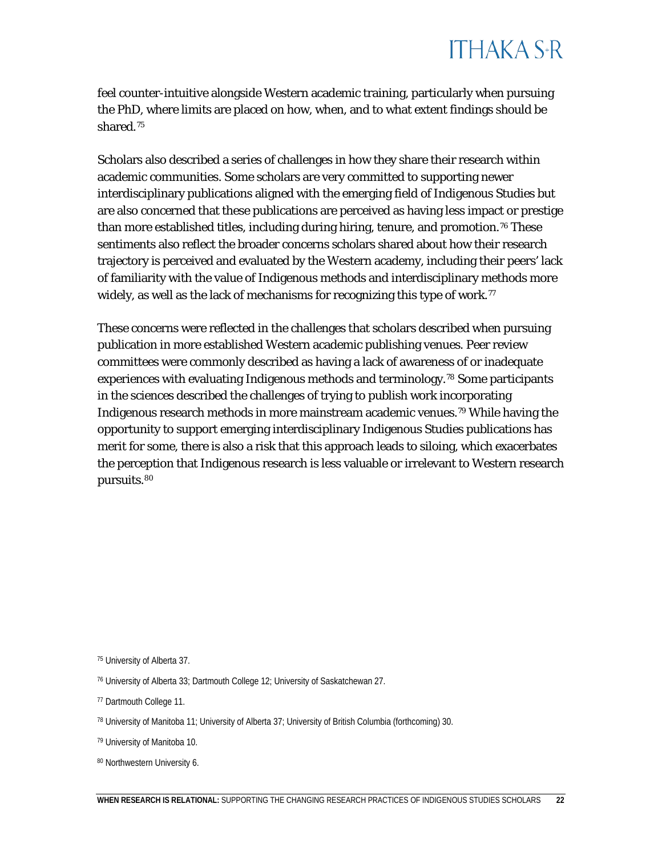feel counter-intuitive alongside Western academic training, particularly when pursuing the PhD, where limits are placed on how, when, and to what extent findings should be shared.[75](#page-22-0) 

Scholars also described a series of challenges in how they share their research within academic communities. Some scholars are very committed to supporting newer interdisciplinary publications aligned with the emerging field of Indigenous Studies but are also concerned that these publications are perceived as having less impact or prestige than more established titles, including during hiring, tenure, and promotion.<sup>[76](#page-22-1)</sup> These sentiments also reflect the broader concerns scholars shared about how their research trajectory is perceived and evaluated by the Western academy, including their peers' lack of familiarity with the value of Indigenous methods and interdisciplinary methods more widely, as well as the lack of mechanisms for recognizing this type of work.<sup>77</sup>

These concerns were reflected in the challenges that scholars described when pursuing publication in more established Western academic publishing venues. Peer review committees were commonly described as having a lack of awareness of or inadequate experiences with evaluating Indigenous methods and terminology.[78](#page-22-3) Some participants in the sciences described the challenges of trying to publish work incorporating Indigenous research methods in more mainstream academic venues[.79](#page-22-4) While having the opportunity to support emerging interdisciplinary Indigenous Studies publications has merit for some, there is also a risk that this approach leads to siloing, which exacerbates the perception that Indigenous research is less valuable or irrelevant to Western research pursuits[.80](#page-22-5)

<span id="page-22-5"></span>80 Northwestern University 6.

<span id="page-22-0"></span><sup>75</sup> University of Alberta 37.

<span id="page-22-1"></span><sup>76</sup> University of Alberta 33; Dartmouth College 12; University of Saskatchewan 27.

<span id="page-22-2"></span><sup>77</sup> Dartmouth College 11.

<span id="page-22-3"></span> $78$  University of Manitoba 11; University of Alberta 37; University of British Columbia (forthcoming) 30.

<span id="page-22-4"></span><sup>79</sup> University of Manitoba 10.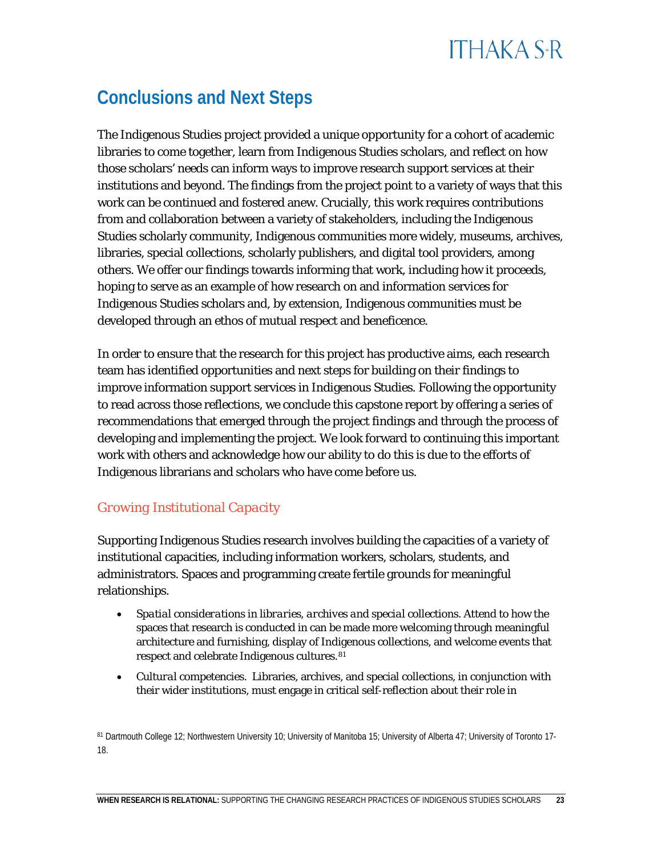## **ITHAKA S+R**

### **Conclusions and Next Steps**

The Indigenous Studies project provided a unique opportunity for a cohort of academic libraries to come together, learn from Indigenous Studies scholars, and reflect on how those scholars' needs can inform ways to improve research support services at their institutions and beyond. The findings from the project point to a variety of ways that this work can be continued and fostered anew. Crucially, this work requires contributions from and collaboration between a variety of stakeholders, including the Indigenous Studies scholarly community, Indigenous communities more widely, museums, archives, libraries, special collections, scholarly publishers, and digital tool providers, among others. We offer our findings towards informing that work, including how it proceeds, hoping to serve as an example of how research on and information services for Indigenous Studies scholars and, by extension, Indigenous communities must be developed through an ethos of mutual respect and beneficence.

In order to ensure that the research for this project has productive aims, each research team has identified opportunities and next steps for building on their findings to improve information support services in Indigenous Studies. Following the opportunity to read across those reflections, we conclude this capstone report by offering a series of recommendations that emerged through the project findings and through the process of developing and implementing the project. We look forward to continuing this important work with others and acknowledge how our ability to do this is due to the efforts of Indigenous librarians and scholars who have come before us.

### *Growing Institutional Capacity*

Supporting Indigenous Studies research involves building the capacities of a variety of institutional capacities, including information workers, scholars, students, and administrators. Spaces and programming create fertile grounds for meaningful relationships.

- *Spatial considerations in libraries, archives and special collections.* Attend to how the spaces that research is conducted in can be made more welcoming through meaningful architecture and furnishing, display of Indigenous collections, Indigenous language use, and welcome events that respect and [ce](#page-23-0)lebrate Indigenous cultures.<sup>81</sup>
- *Cultural competencies.* Libraries, archives, and special collections, in conjunction with their wider institutions, must engage in critical self-reflection about their role in

<span id="page-23-0"></span><sup>81</sup> Dartmouth College 12; Northwestern University 10; University of Manitoba 15; University of Alberta 47; University of Toronto 17- 18; University of Hawai'i System 36.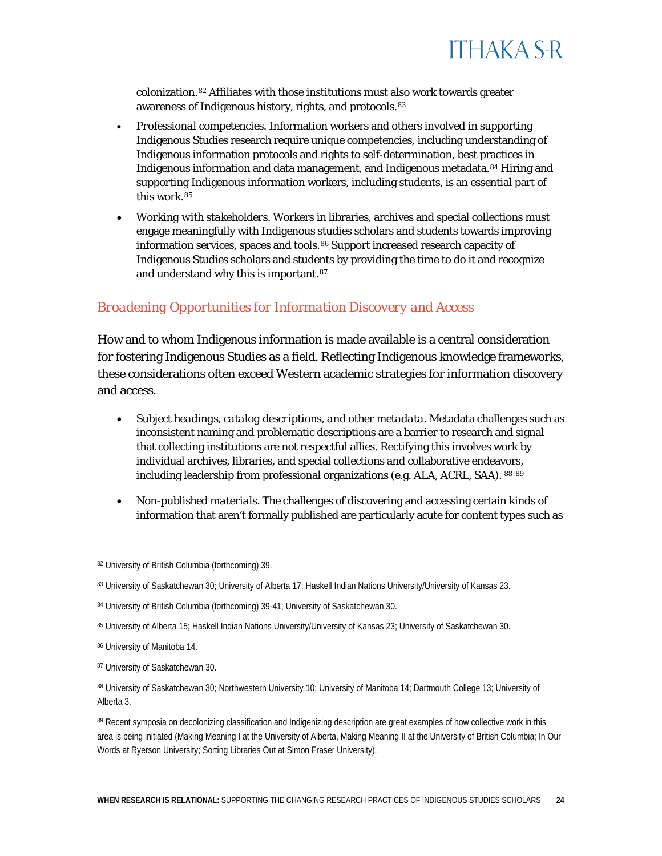

colonization.[82](#page-24-0) Affiliates with those institutions must also work towards greater awareness of Indigenous history, rights, language, cult[ure](#page-24-1), and protocols.<sup>83</sup>

- *Professional competencies.* Information workers and others involved in supporting Indigenous Studies research require unique competencies, including understanding of Indigenous information protocols and rights to self-determination, best practices in Indigenous information and data management, and Indigenous metadata.[84](#page-24-2) Hiring and supporting Indigenous information workers and their leadership development, including [stu](#page-24-3)dents, is an essential part of this work. 85
- *Working with stakeholders.* Workers in libraries, archives and special collections must engage meaningfully with Indigenous studies scholars and students towards improving information services, spaces and tools.[86](#page-24-4) Support increased research capacity of Indigenous Studies scholars and students by providing the time to do it and recognize and understand why this is important.[87](#page-24-5)

### *Broadening Opportunities for Information Discovery and Access*

How and to whom Indigenous information is made available is a central consideration for fostering Indigenous Studies as a field. Reflecting Indigenous knowledge frameworks, these considerations often exceed Western academic strategies for information discovery and access.

- *Subject headings, catalog descriptions, and other metadata.* Metadata challenges such as inconsistent naming and problematic descriptions are a barrier to research and signal that collecting institutions are not respectful allies. Rectifying this involves work by individual archives, libraries, and special collections and collaborative endeavors, including leadership from professional organizations (e.g. ALA, ACRL, SAA) and appro[pri](#page-24-6)[ate](#page-24-7) community stakeholders. 88 89
- *Non-published materials.* The challenges of discovering and accessing certain kinds of information that aren't formally published are particularly acute for content types such as

<span id="page-24-0"></span><sup>82</sup> University of British Columbia (forthcoming) 39.

<span id="page-24-1"></span>83 University of Saskatchewan 30; University of Alberta 17; Haskell Indian Nations University/University of Kansas 23; University of

#### <span id="page-24-2"></span>Hawai'i System 35.

<span id="page-24-3"></span>84 University of British Columbia (forthcoming) 39-41; University of Saskatchewan 30; University of Hawai'i System 36-37.

85 University of Alberta 15; Haskell Indian Nations University/University of Kansas 23; University of Saskatchewan 30; University of

#### <span id="page-24-5"></span><span id="page-24-4"></span>Hawai'i System 36-37.

<span id="page-24-6"></span>86 University of Manitoba 14; University of Hawai'i System 36-37.

87 University of Saskatchewan 30; University of Hawai'i System 38-39.

<span id="page-24-7"></span>88 University of Saskatchewan 30; Northwestern University 10; University of Manitoba 14; Dartmouth College 13; University of Alberta 3; University of Hawai'i System 37-38.

89 Recent symposia on decolonizing classification and Indigenizing description are great examples of how collective work in this area is being initiated (Making Meaning I at the University of Alberta, Making Meaning II at the University of British Columbia; In Our Words at Ryerson University; Sorting Libraries Out at Simon Fraser University).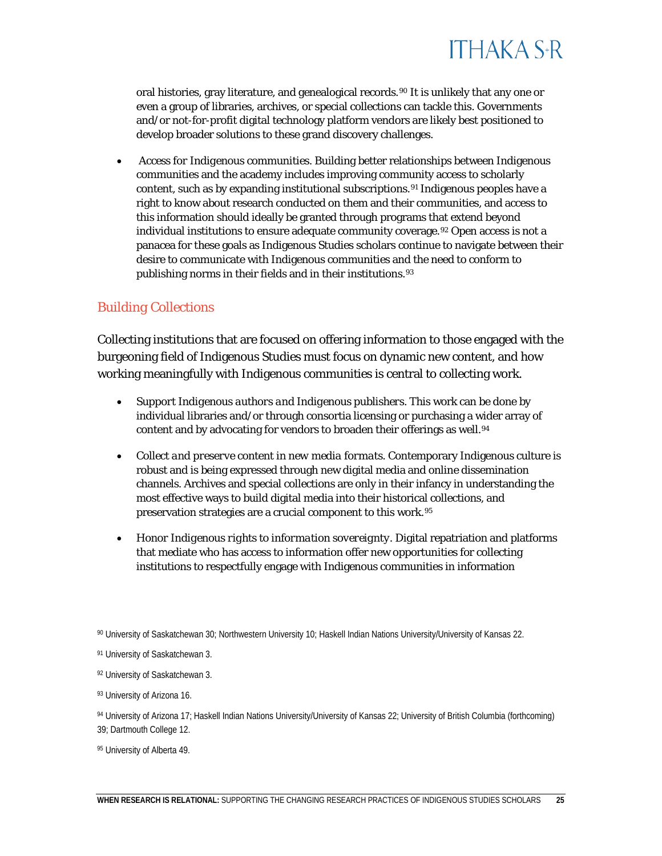

oral histories, gray literature, and genealogical records.[90](#page-25-0) It is unlikely that any one or even a group of libraries, archives, or special collections can tackle this. Governments and/or not-for-profit digital technology platform vendors are likely best positioned to develop broader solutions to these grand discovery challenges.

• *Access for Indigenous communities.* Building better relationships between Indigenous communities and the academy includes improving community access to scholarly content, such as by expanding institutional subscriptions.[91](#page-25-1) Indigenous peoples have a right to know about research conducted on them and their communities, and access to this information should ideally be granted through programs that extend beyond individual institutions to ensure adequate community coverage.<sup>[92](#page-25-2)</sup> Open access is not a panacea for these goals as Indigenous Studies scholars continue to navigate between their desire to communicate with Indigenous communities and the need to conform to publishing norms in their fields and in their institutions.[93](#page-25-3)

### *Building Collections*

Collecting institutions that are focused on offering information to those engaged with the burgeoning field of Indigenous Studies must focus on dynamic new content, and how working meaningfully with Indigenous communities is central to collecting work.

- *Support Indigenous authors and Indigenous publishers.* This work can be done by individual libraries and/or through consortia licensing or purchasing a wider array of content and by advocating for vendors to broaden their offerings as well.<sup>[94](#page-25-4)</sup>
- *Collect and preserve content in new media formats*. Contemporary Indigenous culture is robust and is being expressed through new digital media and online dissemination channels. Archives and special collections are only in their infancy in understanding the most effective ways to build digital media into their historical collections, and preservation strategies are a crucial component to this work.[95](#page-25-5)
- *Honor Indigenous rights to information sovereignty.* Digital repatriation and platforms that mediate who has access to information offer new opportunities for collecting institutions to respectfully engage with Indigenous communities in information

<span id="page-25-0"></span><sup>90</sup> University of Saskatchewan 30; Northwestern University 10; Haskell Indian Nations University/University of Kansas 22.

<span id="page-25-1"></span><sup>91</sup> University of Saskatchewan 3.

<span id="page-25-2"></span><sup>92</sup> University of Saskatchewan 3; University of Hawai'i System 38.

<span id="page-25-3"></span><sup>93</sup> University of Arizona 16.

<span id="page-25-4"></span><sup>94</sup> University of Arizona 17; Haskell Indian Nations University/University of Kansas 22; University of British Columbia (forthcoming)

<sup>39;</sup> Dartmouth College 12.

<span id="page-25-5"></span><sup>95</sup> University of Alberta 49; University of Hawai'i System 37-38.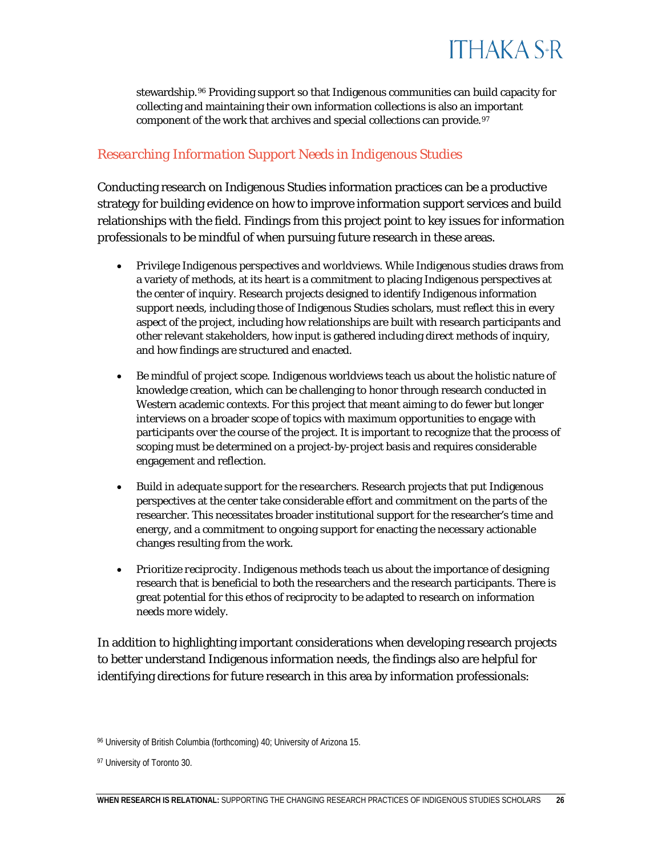

stewardship.[96](#page-26-0) Providing support so that Indigenous communities can build capacity for collecting and maintaining their own information collections is also an important component of the work that archives and special collections can provide.<sup>97</sup>

#### *Researching Information Support Needs in Indigenous Studies*

Conducting research on Indigenous Studies information practices can be a productive strategy for building evidence on how to improve information support services and build relationships with the field. Findings from this project point to key issues for information professionals to be mindful of when pursuing future research in these areas.

- *Privilege Indigenous perspectives and worldviews*. While Indigenous studies draws from a variety of methods, at its heart is a commitment to placing Indigenous perspectives at the center of inquiry. Research projects designed to identify Indigenous information support needs, including those of Indigenous Studies scholars, must reflect this in every aspect of the project, including how relationships are built with research participants and other relevant stakeholders, how input is gathered including direct methods of inquiry, and how findings are structured and enacted.
- *Be mindful of project scope.* Indigenous worldviews teach us about the holistic nature of knowledge creation, which can be challenging to honor through research conducted in Western academic contexts. For this project that meant aiming to do fewer but longer interviews on a broader scope of topics with maximum opportunities to engage with participants over the course of the project. It is important to recognize that the process of scoping must be determined on a project-by-project basis and requires considerable engagement and reflection.
- *Build in adequate support for the researchers.* Research projects that put Indigenous perspectives at the center take considerable effort and commitment on the parts of the researcher. This necessitates broader institutional support for the researcher's time and energy, and a commitment to ongoing support for enacting the necessary actionable changes resulting from the work.
- *Prioritize reciprocity.* Indigenous methods teach us about the importance of designing research that is beneficial to both the researchers and the research participants. There is great potential for this ethos of reciprocity to be adapted to research on information needs more widely.

In addition to highlighting important considerations when developing research projects to better understand Indigenous information needs, the findings also are helpful for identifying directions for future research in this area by information professionals:

<span id="page-26-0"></span><sup>96</sup> University of British Columbia (forthcoming) 40; University of Arizona 15; University of Hawai'i System 37-38.

<span id="page-26-1"></span><sup>97</sup> University of Toronto 30.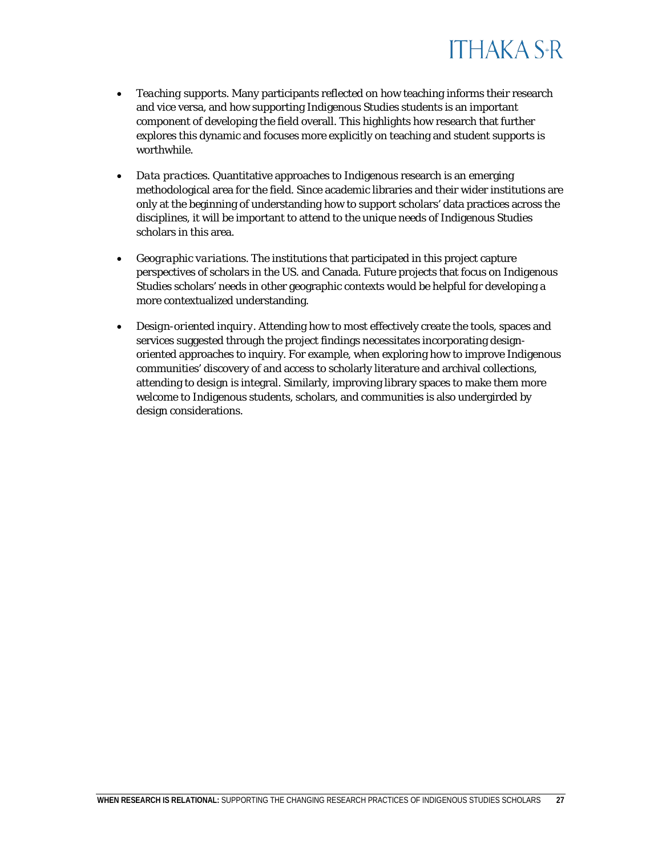

- *Teaching supports.* Many participants reflected on how teaching informs their research and vice versa, and how supporting Indigenous Studies students is an important component of developing the field overall. This highlights how research that further explores this dynamic and focuses more explicitly on teaching and student supports is worthwhile.
- *Data practices.* Quantitative approaches to Indigenous research is an emerging methodological area for the field. Since academic libraries and their wider institutions are only at the beginning of understanding how to support scholars' data practices across the disciplines, it will be important to attend to the unique needs of Indigenous Studies scholars in this area.
- *Geographic variations.* The institutions that participated in this project capture perspectives of scholars in the US, Hawai'i, and Canada. Future projects that focus on Indigenous Studies scholars' needs in other geographic contexts would be helpful for developing a more contextualized understanding.
- *Design-oriented inquiry.* Attending how to most effectively create the tools, spaces and services suggested through the project findings necessitates incorporating design-oriented approaches to inquiry. For example, when exploring how to improve Indigenous communities' discovery of and access to scholarly literature and archival collections, attending to design is integral. Similarly, improving library spaces to make them more welcome to Indigenous students, scholars, and communities is also undergirded by design considerations.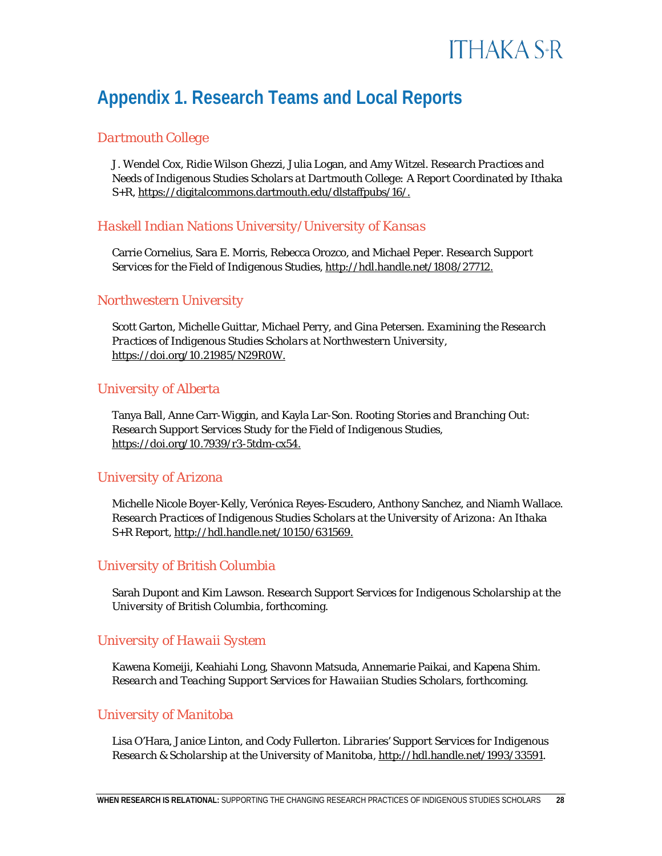

### **Appendix 1. Research Teams and Local Reports**

### *Dartmouth College*

J. Wendel Cox, Ridie Wilson Ghezzi, Julia Logan, and Amy Witzel. *Research Practices and Needs of Indigenous Studies Scholars at Dartmouth College: A Report Coordinated by Ithaka S+R*[, https://digitalcommons.dartmouth.edu/dlstaffpubs/16/.](https://digitalcommons.dartmouth.edu/dlstaffpubs/16/)

### *Haskell Indian Nations University/University of Kansas*

Carrie Cornelius, Sara E. Morris, Rebecca Orozco, and Michael Peper*. Research Support Services for the Field of Indigenous Studies*, [http://hdl.handle.net/1808/27712.](http://hdl.handle.net/1808/27712)

### *Northwestern University*

Scott Garton, Michelle Guittar, Michael Perry, and Gina Petersen. *Examining the Research Practices of Indigenous Studies Scholars at Northwestern University*, [https://doi.org/10.21985/N29R0W.](https://doi.org/10.21985/N29R0W)

### *University of Alberta*

Tanya Ball, Anne Carr-Wiggin, and Kayla Lar-Son. *Rooting Stories and Branching Out: Research Support Services Study for the Field of Indigenous Studies*, [https://doi.org/10.7939/r3-5tdm-cx54.](https://doi.org/10.7939/r3-5tdm-cx54)

#### *University of Arizona*

Michelle Nicole Boyer-Kelly, Verónica Reyes-Escudero, Anthony Sanchez, and Niamh Wallace. *Research Practices of Indigenous Studies Scholars at the University of Arizona: An Ithaka S+R Report*, [http://hdl.handle.net/10150/631569.](http://hdl.handle.net/10150/631569)

### *University of British Columbia*

Sarah Dupont and Kim Lawson. *Research Support Services for Indigenous Scholarship at the University of British Columbia*, forthcoming.

### *University of Hawai'i System*

Kawena Komeiji, Keahiahi Long, Shavonn Matsuda, Annemarie Paikai, and Kapena Shim. *E Na'auao Pū, E Noi'i Pū, E Noelo Pū: Research and Teaching Support Services for Hawaiian Studies Scholars*, http://hdl.handle.net/10125/44906.

#### *University of Manitoba*

Lisa O'Hara, Janice Linton, and Cody Fullerton. *Librar[ies' Support Services for Indigenous](http://hdl.handle.net/1993/33591) Research & Scholarship at the University of Manitoba,* http://hdl.handle.net/1993/33591.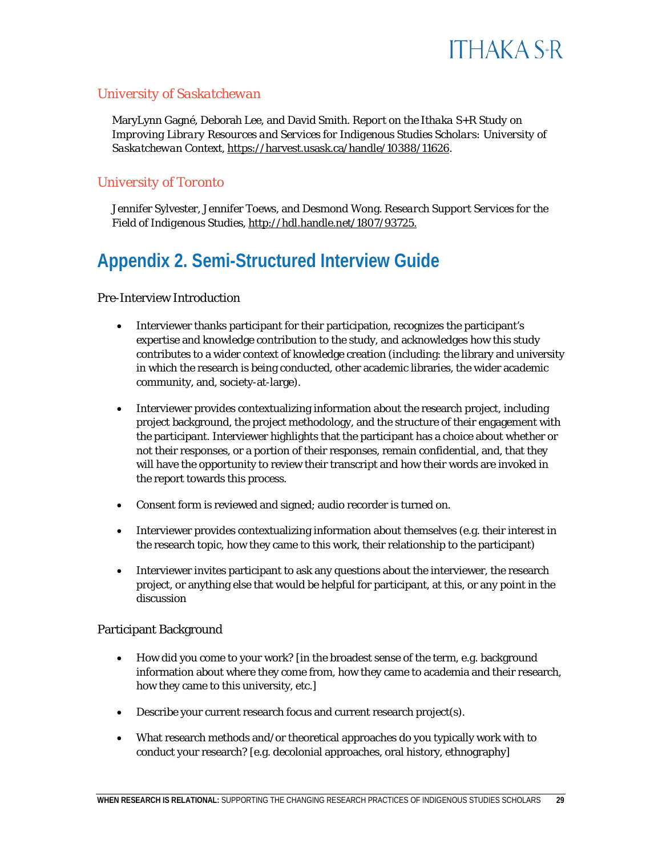

#### *University of Saskatchewan*

MaryLynn Gagné, Deborah Lee, and David Smith. *Report on the Ithaka S+R Study on Improving Library Resources and Services for Indigenous Studies Scholars: University of Saskatchewan Context*, [https://harvest.usask.ca/handle/10388/11626.](https://harvest.usask.ca/handle/10388/11626)

#### *University of Toronto*

Jennifer Sylvester, Jennifer Toews, and Desmond Wong. *Research Support Services for the Field of Indigenous Studies*[, http://hdl.handle.net/1807/93725.](http://hdl.handle.net/1807/93725)

### **Appendix 2. Semi-Structured Interview Guide**

#### Pre-Interview Introduction

- Interviewer thanks participant for their participation, recognizes the participant's expertise and knowledge contribution to the study, and acknowledges how this study contributes to a wider context of knowledge creation (including: the library and university in which the research is being conducted, other academic libraries, the wider academic community, and, society-at-large).
- Interviewer provides contextualizing information about the research project, including project background, the project methodology, and the structure of their engagement with the participant. Interviewer highlights that the participant has a choice about whether or not their responses, or a portion of their responses, remain confidential, and, that they will have the opportunity to review their transcript and how their words are invoked in the report towards this process.
- Consent form is reviewed and signed; audio recorder is turned on.
- Interviewer provides contextualizing information about themselves (e.g. their interest in the research topic, how they came to this work, their relationship to the participant)
- Interviewer invites participant to ask any questions about the interviewer, the research project, or anything else that would be helpful for participant, at this, or any point in the discussion

#### Participant Background

- How did you come to your work? [in the broadest sense of the term, e.g. background information about where they come from, how they came to academia and their research, how they came to this university, etc.]
- Describe your current research focus and current research project(s).
- What research methods and/or theoretical approaches do you typically work with to conduct your research? [e.g. decolonial approaches, oral history, ethnography]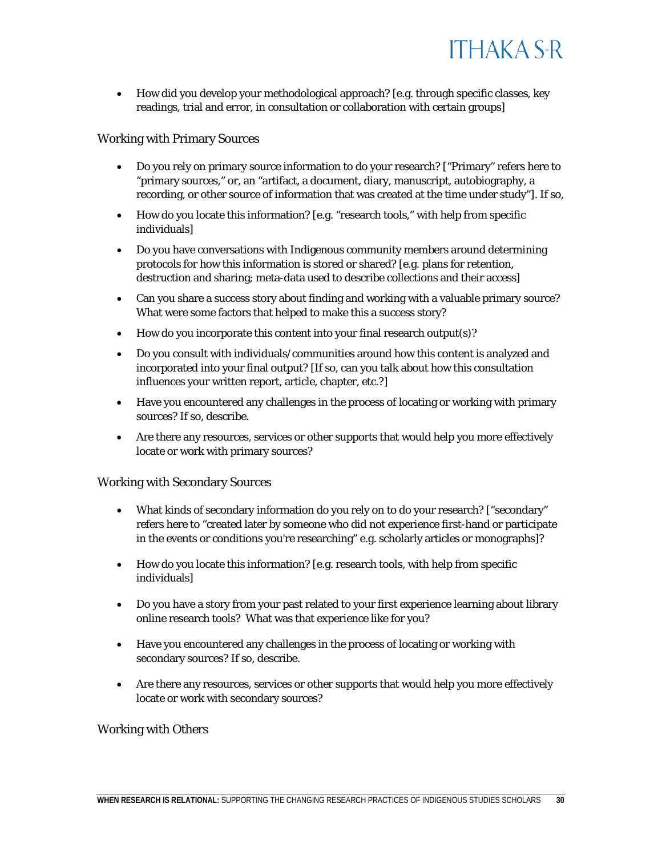

grateful to Te Paea Paringatai,<sup>5</sup> Camille Callison,<sup>6</sup> Deborah Lee,<sup>7</sup> Loriene Roy<sup>8</sup> and J.

<sup>9</sup> for their guidance and patience as advisors as Ithaka S+R explored the possibilities for developing a research project. With their guidance, we moved forward in collaboration with a group of academic libraries to study the evolving research support needs of Indigenous Studies scholars. Academic libraries and organizations like Ithaka S+R can be allies in this work only insofar as the project could be developed in ways that would honor Indigenous communities and their knowledge protocols and lead to meaningful change within mainstream academia. Given this, Ithaka S+R needed to change the methodology used in previous research support services projects.

The project became a research study collectively undertaken from 2018 to 2019 by teams at 11 academic libraries to interview Indigenous Studies scholars on their research experiences and support needs.<sup>10</sup> The teams shared an approach and instruments that were reflective of Indigenous methodologies and which could be sufficiently adapted to lead to separate findings and next steps relevant to each local context. The reports from teams who chose to make some of their findings public are being released concurrently by each institution as companion publications (see Appendix 1).

<sup>5</sup> 7H 3DHD 3DULQJDWDL WULEDO DIILOLDWLRQV WR :DLNDWiRaIDQG 1J—WL 3RU Federation of Library Associations and the Institutions (IFLA) Indigenous Matters Section. IFLA Indigenous Matters section endorsed the project and their ongoing support is appreciated, including their review of this report. Te Paea is also the immediate past president of the Library and Information Association of New Zealand Aotearoa (LIANZA) and Customer Services Manager, Learning Teaching and Research at the University of Canterbury Library.

<sup>6</sup> Camille Callison (Tahltan Nation) provided ongoing insight into the project including reviewing this report in her capacity as working on the Standing Committee for the International Federation of Library Associations and Institutions (IFLA) Indigenous Matters Section. Her insight is further informed through her work as the Canadian Federation of Library Associations' (CFLA-FCAB) Indigenous Representative and Chair the CFLA-FCAB Indigenous Matters Committee and chair of the Truth & Reconciliation Committee.

7 Deborah Lee (who is of Cree-Métis, Mohawk, French, and Welsh ancestry) provided ongoing advice on the project as a recognized leader in and researcher on the field of Indigenous Librarianship. She provided an extensive review of the project's methodology and ethics protocols, and to this report. The project also benefited greatly from her being a researcher on the University of Saskatchewan team. Deborah has been an incredible support and mentor throughout project. It has been a privilege for the researchers on the project to work with and learn from her.

8 Loriene Roy (Anishinabe; Enrolled: White Earth Reservation; Member: Minnesota Chippewa Tribe) provided preliminary insight into the viability of the project from her perspective as leader in Indigenous Studies. Loriene is a Professor at the School of Information at the University of Texas at Austin.

9 - .•KDXODQL .DXDQXL .DQDND 0DROL SURYLGHG SUHOLPNLiSQepDnU\ LQVLJKW L( from her perspect LYH DV OHDGHU LQ , QGLJHQRXV 6WXGLHV ... KDXODQL LV 3URIHVVRU University and one of the original six co-founders of the Native American and Indigenous Studies Association.

<sup>10</sup> In addition to the 11 academic libraries that participated in the research Simon Fraser University also contributed to an early phase of the project's development. We thank Simon Fraser University for their contributions to the project.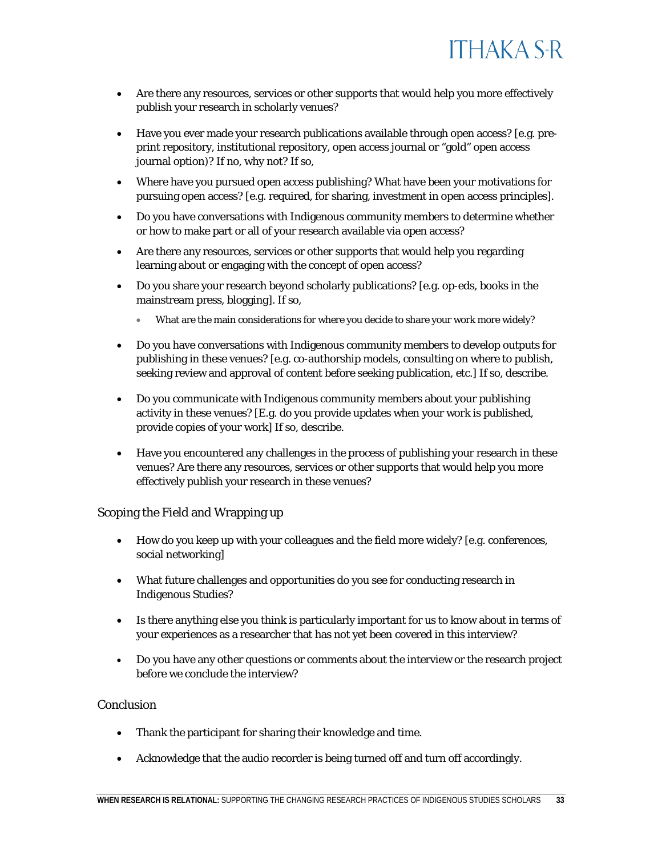

Indigenous knowledge paradigms, which involves unique protocols for defining, describing, sharing, and preserving information.<sup>4</sup> Scholars working within Indigenous Studies require information services and tools that are unique to the research supports typically found in Western institutions, including those provided by academic libraries, archives, museums and special collections. Building ongoing, meaningful relationships with Indigenous Studies scholars and understanding their work is an essential way for those who have mandates to support Indigenous Studies scholars at their institutions, such as academic librarians, archivists, and administrators, to develop services to fulfil those mandates.

beyond what I had undertaken thus far in my work. A fuller reflection on my positionality related to this project can be found here: https://sr.ithaka.org/blog/a-new-project-on-indigenous-studies-scholars/.

<sup>4</sup> It is important to recognize that defining Indigenous Studies is challenging, in part because there is no one Indigenous way of knowing. Having a working definition of Indigenous Studies that recognized this was an important part of the process of exploring how to develop this project. For the purposes of this project we use the term Indigenous Studies, which may also be referred to as Native Studies, Aboriginal Studies or First Nations Studies, among other terms (e.g. Hawaiian Studies), to refer to an interdisciplinary field focused on the histories, current experiences and futures of Indigenous peoples and communities. While research in the field may incorporate methods and theories from a variety of academic disciplines, at the field's core is an underlying commitment to placing Indigeneity and Indigenous perspectives at the center of inquiry and pedagogy, including approaches to meaning-making, language, geography and knowledge production. Some work in Indigenous Studies is also undergirded by critical orientations, such as through commitments to decolonize pedagogy and research. At the institutional level, Indigenous Studies scholars are not only found within Indigenous Studies departments but also within and cross-listed between other departments such as agriculture, education, history, law, linguistics, medicine, nursing, political science, social work, sociology, and women's studies, and many others.